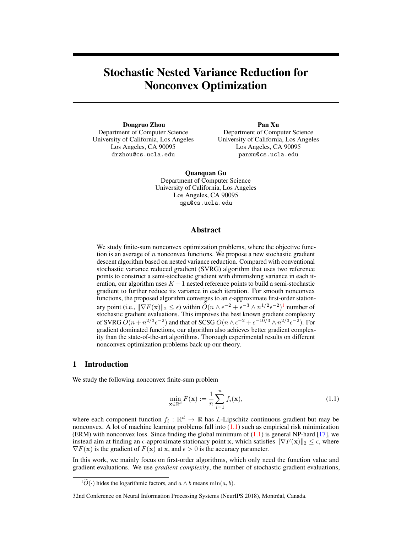# Stochastic Nested Variance Reduction for Nonconvex Optimization

Dongruo Zhou Department of Computer Science University of California, Los Angeles Los Angeles, CA 90095 drzhou@cs.ucla.edu

Pan Xu Department of Computer Science University of California, Los Angeles Los Angeles, CA 90095 panxu@cs.ucla.edu

Quanquan Gu Department of Computer Science University of California, Los Angeles Los Angeles, CA 90095 qgu@cs.ucla.edu

# Abstract

We study finite-sum nonconvex optimization problems, where the objective function is an average of  $n$  nonconvex functions. We propose a new stochastic gradient descent algorithm based on nested variance reduction. Compared with conventional stochastic variance reduced gradient (SVRG) algorithm that uses two reference points to construct a semi-stochastic gradient with diminishing variance in each iteration, our algorithm uses  $K + 1$  nested reference points to build a semi-stochastic gradient to further reduce its variance in each iteration. For smooth nonconvex functions, the proposed algorithm converges to an  $\epsilon$ -approximate first-order stationary point (i.e.,  $\|\nabla F(\mathbf{x})\|_2 \leq \epsilon$ ) within  $\widetilde{O}(n \wedge \epsilon^{-2} + \epsilon^{-3} \wedge n^{1/2} \epsilon^{-2})^1$  $\widetilde{O}(n \wedge \epsilon^{-2} + \epsilon^{-3} \wedge n^{1/2} \epsilon^{-2})^1$  $\widetilde{O}(n \wedge \epsilon^{-2} + \epsilon^{-3} \wedge n^{1/2} \epsilon^{-2})^1$  number of stochastic gradient evaluations. This improves the best known gradient complexity of SVRG  $O(n + n^{2/3} \epsilon^{-2})$  and that of SCSG  $O(n \wedge \epsilon^{-2} + \epsilon^{-10/3} \wedge n^{2/3} \epsilon^{-2})$ . For gradient dominated functions, our algorithm also achieves better gradient complexity than the state-of-the-art algorithms. Thorough experimental results on different nonconvex optimization problems back up our theory.

# 1 Introduction

We study the following nonconvex finite-sum problem

<span id="page-0-1"></span>
$$
\min_{\mathbf{x} \in \mathbb{R}^d} F(\mathbf{x}) := \frac{1}{n} \sum_{i=1}^n f_i(\mathbf{x}),\tag{1.1}
$$

where each component function  $f_i : \mathbb{R}^d \to \mathbb{R}$  has *L*-Lipschitz continuous gradient but may be nonconvex. A lot of machine learning problems fall into  $(1.1)$  such as empirical risk minimization (ERM) with nonconvex loss. Since finding the global minimum of  $(1.1)$  is general NP-hard  $[17]$ , we instead aim at finding an  $\epsilon$ -approximate stationary point x, which satisfies  $\|\nabla F(\mathbf{x})\|_2 \leq \epsilon$ , where  $\nabla F(\mathbf{x})$  is the gradient of  $F(\mathbf{x})$  at x, and  $\epsilon > 0$  is the accuracy parameter.

In this work, we mainly focus on first-order algorithms, which only need the function value and gradient evaluations. We use *gradient complexity*, the number of stochastic gradient evaluations,

<span id="page-0-0"></span><sup>&</sup>lt;sup>1</sup> $\widetilde{O}(\cdot)$  hides the logarithmic factors, and  $a \wedge b$  means min $(a, b)$ .

<sup>32</sup>nd Conference on Neural Information Processing Systems (NeurIPS 2018), Montréal, Canada.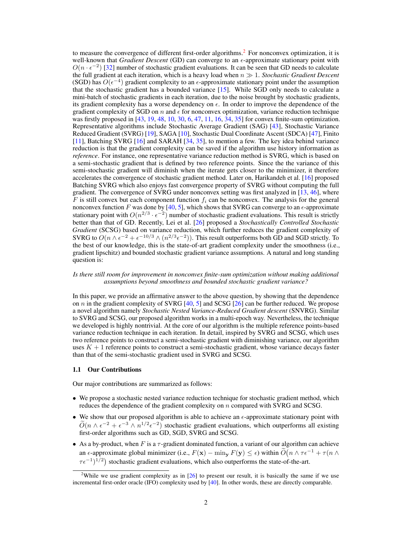to measure the convergence of different first-order algorithms.<sup>[2](#page-1-0)</sup> For nonconvex optimization, it is well-known that *Gradient Descent* (GD) can converge to an  $\epsilon$ -approximate stationary point with  $O(n \cdot \epsilon^{-2})$  [\[32\]](#page-10-0) number of stochastic gradient evaluations. It can be seen that GD needs to calculate the full gradient at each iteration, which is a heavy load when  $n \gg 1$ . *Stochastic Gradient Descent* (SGD) has  $O(\epsilon^{-4})$  gradient complexity to an  $\epsilon$ -approximate stationary point under the assumption that the stochastic gradient has a bounded variance [\[15\]](#page-9-1). While SGD only needs to calculate a mini-batch of stochastic gradients in each iteration, due to the noise brought by stochastic gradients, its gradient complexity has a worse dependency on  $\epsilon$ . In order to improve the dependence of the gradient complexity of SGD on  $n$  and  $\epsilon$  for nonconvex optimization, variance reduction technique was firstly proposed in [\[43,](#page-11-0) [19,](#page-10-1) [48,](#page-11-1) [10,](#page-9-2) [30,](#page-10-2) [6,](#page-9-3) [47,](#page-11-2) [11,](#page-9-4) [16,](#page-9-5) [34,](#page-10-3) [35\]](#page-10-4) for convex finite-sum optimization. Representative algorithms include Stochastic Average Gradient (SAG) [\[43\]](#page-11-0), Stochastic Variance Reduced Gradient (SVRG) [\[19\]](#page-10-1), SAGA [\[10\]](#page-9-2), Stochastic Dual Coordinate Ascent (SDCA) [\[47\]](#page-11-2), Finito [\[11\]](#page-9-4), Batching SVRG [\[16\]](#page-9-5) and SARAH [\[34,](#page-10-3) [35\]](#page-10-4), to mention a few. The key idea behind variance reduction is that the gradient complexity can be saved if the algorithm use history information as *reference*. For instance, one representative variance reduction method is SVRG, which is based on a semi-stochastic gradient that is defined by two reference points. Since the the variance of this semi-stochastic gradient will diminish when the iterate gets closer to the minimizer, it therefore accelerates the convergence of stochastic gradient method. Later on, Harikandeh et al. [\[16\]](#page-9-5) proposed Batching SVRG which also enjoys fast convergence property of SVRG without computing the full gradient. The convergence of SVRG under nonconvex setting was first analyzed in [\[13,](#page-9-6) [46\]](#page-11-3), where  $\overline{F}$  is still convex but each component function  $f_i$  can be nonconvex. The analysis for the general nonconvex function F was done by [\[40,](#page-11-4) [5\]](#page-9-7), which shows that SVRG can converge to an  $\epsilon$ -approximate stationary point with  $O(n^{2/3} \cdot \epsilon^{-2})$  number of stochastic gradient evaluations. This result is strictly better than that of GD. Recently, Lei et al. [\[26\]](#page-10-5) proposed a *Stochastically Controlled Stochastic Gradient* (SCSG) based on variance reduction, which further reduces the gradient complexity of SVRG to  $O(n \wedge \epsilon^{-2} + \epsilon^{-10/3} \wedge (n^{2/3} \epsilon^{-2}))$ . This result outperforms both GD and SGD strictly. To the best of our knowledge, this is the state-of-art gradient complexity under the smoothness (i.e., gradient lipschitz) and bounded stochastic gradient variance assumptions. A natural and long standing question is:

#### *Is there still room for improvement in nonconvex finite-sum optimization without making additional assumptions beyond smoothness and bounded stochastic gradient variance?*

In this paper, we provide an affirmative answer to the above question, by showing that the dependence on  $n$  in the gradient complexity of SVRG [\[40,](#page-11-4) [5\]](#page-9-7) and SCSG [\[26\]](#page-10-5) can be further reduced. We propose a novel algorithm namely *Stochastic Nested Variance-Reduced Gradient descent* (SNVRG). Similar to SVRG and SCSG, our proposed algorithm works in a multi-epoch way. Nevertheless, the technique we developed is highly nontrivial. At the core of our algorithm is the multiple reference points-based variance reduction technique in each iteration. In detail, inspired by SVRG and SCSG, which uses two reference points to construct a semi-stochastic gradient with diminishing variance, our algorithm uses  $K + 1$  reference points to construct a semi-stochastic gradient, whose variance decays faster than that of the semi-stochastic gradient used in SVRG and SCSG.

#### 1.1 Our Contributions

Our major contributions are summarized as follows:

- We propose a stochastic nested variance reduction technique for stochastic gradient method, which reduces the dependence of the gradient complexity on n compared with SVRG and SCSG.
- We show that our proposed algorithm is able to achieve an  $\epsilon$ -approximate stationary point with  $\widetilde{O}(n \wedge \epsilon^{-2} + \epsilon^{-3} \wedge n^{1/2} \epsilon^{-2})$  stochastic gradient evaluations, which outperforms all existing first-order algorithms such as GD, SGD, SVRG and SCSG.
- As a by-product, when F is a  $\tau$ -gradient dominated function, a variant of our algorithm can achieve an  $\epsilon$ -approximate global minimizer (i.e.,  $F(\mathbf{x}) - \min_{\mathbf{y}} F(\mathbf{y}) \leq \epsilon$ ) within  $\widetilde{O}(n \wedge \tau \epsilon^{-1} + \tau (n \wedge \tau \epsilon^{-1}))$  $\tau \epsilon^{-1}$ )<sup>1/2</sup>) stochastic gradient evaluations, which also outperforms the state-of-the-art.

<span id="page-1-0"></span><sup>&</sup>lt;sup>2</sup>While we use gradient complexity as in  $[26]$  to present our result, it is basically the same if we use incremental first-order oracle (IFO) complexity used by [\[40\]](#page-11-4). In other words, these are directly comparable.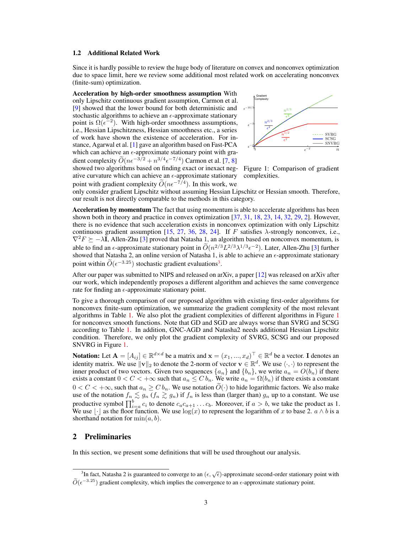#### 1.2 Additional Related Work

Since it is hardly possible to review the huge body of literature on convex and nonconvex optimization due to space limit, here we review some additional most related work on accelerating nonconvex (finite-sum) optimization.

Acceleration by high-order smoothness assumption With only Lipschitz continuous gradient assumption, Carmon et al. [\[9\]](#page-9-8) showed that the lower bound for both deterministic and stochastic algorithms to achieve an  $\epsilon$ -approximate stationary point is  $\Omega(\epsilon^{-2})$ . With high-order smoothness assumptions, i.e., Hessian Lipschitzness, Hessian smoothness etc., a series of work have shown the existence of acceleration. For instance, Agarwal et al. [\[1\]](#page-9-9) gave an algorithm based on Fast-PCA which can achieve an  $\epsilon$ -approximate stationary point with gradient complexity  $\ddot{O}(n\epsilon^{-3/2} + n^{3/4}\epsilon^{-7/4})$  Carmon et al. [\[7,](#page-9-10) [8\]](#page-9-11) showed two algorithms based on finding exact or inexact negative curvature which can achieve an  $\epsilon$ -approximate stationary point with gradient complexity  $\widetilde{O}(n\epsilon^{-7/4})$ . In this work, we



<span id="page-2-1"></span>Figure 1: Comparison of gradient complexities.

only consider gradient Lipschitz without assuming Hessian Lipschitz or Hessian smooth. Therefore, our result is not directly comparable to the methods in this category.

Acceleration by momentum The fact that using momentum is able to accelerate algorithms has been shown both in theory and practice in convex optimization [\[37,](#page-10-6) [31,](#page-10-7) [18,](#page-9-12) [23,](#page-10-8) [14,](#page-9-13) [32,](#page-10-0) [29,](#page-10-9) [2\]](#page-9-14). However, there is no evidence that such acceleration exists in nonconvex optimization with only Lipschitz continuous gradient assumption [\[15,](#page-9-1) [27,](#page-10-10) [36,](#page-10-11) [28,](#page-10-12) [24\]](#page-10-13). If F satisfies  $\lambda$ -strongly nonconvex, i.e.,  $\nabla^2 F \succeq -\lambda I$ , Allen-Zhu [\[3\]](#page-9-15) proved that Natasha 1, an algorithm based on nonconvex momentum, is able to find an  $\epsilon$ -approximate stationary point in  $O(n^{2/3}L^{2/3}\lambda^{1/3}\epsilon^{-2})$ . Later, Allen-Zhu [\[3\]](#page-9-15) further showed that Natasha 2, an online version of Natasha 1, is able to achieve an  $\epsilon$ -approximate stationary point within  $\widetilde{O}(\epsilon^{-3.25})$  $\widetilde{O}(\epsilon^{-3.25})$  $\widetilde{O}(\epsilon^{-3.25})$  stochastic gradient evaluations<sup>3</sup>.

After our paper was submitted to NIPS and released on arXiv, a paper [\[12\]](#page-9-16) was released on arXiv after our work, which independently proposes a different algorithm and achieves the same convergence rate for finding an  $\epsilon$ -approximate stationary point.

To give a thorough comparison of our proposed algorithm with existing first-order algorithms for nonconvex finite-sum optimization, we summarize the gradient complexity of the most relevant algorithms in Table [1.](#page-3-0) We also plot the gradient complexities of different algorithms in Figure [1](#page-2-1) for nonconvex smooth functions. Note that GD and SGD are always worse than SVRG and SCSG according to Table [1.](#page-3-0) In addition, GNC-AGD and Natasha2 needs additional Hessian Lipschitz condition. Therefore, we only plot the gradient complexity of SVRG, SCSG and our proposed SNVRG in Figure [1.](#page-2-1)

**Notation:** Let  $\mathbf{A} = [A_{ij}] \in \mathbb{R}^{d \times d}$  be a matrix and  $\mathbf{x} = (x_1, ..., x_d)^\top \in \mathbb{R}^d$  be a vector. I denotes an identity matrix. We use  $\|\mathbf{v}\|_2$  to denote the 2-norm of vector  $\mathbf{v} \in \mathbb{R}^d$ . We use  $\langle \cdot, \cdot \rangle$  to represent the inner product of two vectors. Given two sequences  $\{a_n\}$  and  $\{b_n\}$ , we write  $a_n = O(b_n)$  if there exists a constant  $0 < C < +\infty$  such that  $a_n \le C b_n$ . We write  $a_n = \Omega(b_n)$  if there exists a constant  $0 < C < +\infty$ , such that  $a_n \ge C b_n$ . We use notation  $\widetilde{O}(\cdot)$  to hide logarithmic factors. We also make use of the notation  $f_n \leq g_n$  ( $f_n \geq g_n$ ) if  $f_n$  is less than (larger than)  $g_n$  up to a constant. We use productive symbol  $\prod_{i=a}^{b} c_i$  to denote  $c_a c_{a+1} \ldots c_b$ . Moreover, if  $a > b$ , we take the product as 1. We use  $\lvert \cdot \rvert$  as the floor function. We use  $\log(x)$  to represent the logarithm of x to base 2.  $a \wedge b$  is a shorthand notation for  $\min(a, b)$ .

# 2 Preliminaries

In this section, we present some definitions that will be used throughout our analysis.

<span id="page-2-0"></span> $\frac{3}{10}$  and fact, Natasha 2 is guaranteed to converge to an  $(\epsilon, \sqrt{\epsilon})$ -approximate second-order stationary point with  $\widetilde{O}(\epsilon^{-3.25})$  gradient complexity, which implies the convergence to an  $\epsilon$ -approximate stationary point.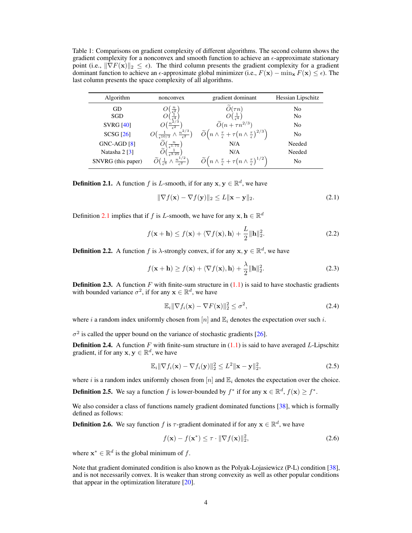<span id="page-3-0"></span>Table 1: Comparisons on gradient complexity of different algorithms. The second column shows the gradient complexity for a nonconvex and smooth function to achieve an  $\epsilon$ -approximate stationary point (i.e.,  $\|\nabla F(\mathbf{x})\|_2 \leq \epsilon$ ). The third column presents the gradient complexity for a gradient dominant function to achieve an  $\epsilon$ -approximate global minimizer (i.e.,  $F(\mathbf{x}) - \min_{\mathbf{x}} F(\mathbf{x}) \leq \epsilon$ ). The last column presents the space complexity of all algorithms.

| Algorithm                   | nonconvex                                                                          | gradient dominant                                                                                       |                |
|-----------------------------|------------------------------------------------------------------------------------|---------------------------------------------------------------------------------------------------------|----------------|
| GD                          | $\frac{n}{\epsilon^2}$                                                             | $\tilde{O}(\tau n)$                                                                                     | No             |
| SGD                         | $rac{1}{\epsilon^4}$                                                               | $O(\frac{1}{\epsilon^4})$                                                                               | N <sub>0</sub> |
| <b>SVRG [40]</b>            | $\frac{n^{2/3}}{\epsilon^2}$                                                       | $\widetilde{O}(n+\tau n^{2/3})$                                                                         | N <sub>0</sub> |
| <b>SCSG</b> [26]            | - $\wedge \frac{n^{2/3}}{\epsilon^2}$<br>$O\left(\frac{1}{\epsilon^{10/3}}\right)$ | $\widetilde{O}\left(n \wedge \frac{\tau}{\epsilon} + \tau(n \wedge \frac{\tau}{\epsilon})^{2/3}\right)$ | N <sub>0</sub> |
| GNC-AGD [8]                 | $\widetilde{O}\left(\frac{n}{\epsilon^{1.75}}\right)$                              | N/A                                                                                                     | Needed         |
| Natasha $2 \lceil 3 \rceil$ | $\frac{1}{53.25}$                                                                  | N/A                                                                                                     | Needed         |
| SNVRG (this paper)          | $\frac{n^{1/2}}{\epsilon^2}$<br>$\widetilde{O}(\frac{1}{2} \wedge$                 | $\widetilde{O}\left(n \wedge \frac{\tau}{\epsilon} + \tau(n \wedge \frac{\tau}{\epsilon})^{1/2}\right)$ | No             |

<span id="page-3-1"></span>**Definition 2.1.** A function f is L-smooth, if for any  $\mathbf{x}, \mathbf{y} \in \mathbb{R}^d$ , we have

$$
\|\nabla f(\mathbf{x}) - \nabla f(\mathbf{y})\|_2 \le L \|\mathbf{x} - \mathbf{y}\|_2.
$$
 (2.1)

Definition [2.1](#page-3-1) implies that if f is L-smooth, we have for any  $\mathbf{x}, \mathbf{h} \in \mathbb{R}^d$ 

$$
f(\mathbf{x} + \mathbf{h}) \le f(\mathbf{x}) + \langle \nabla f(\mathbf{x}), \mathbf{h} \rangle + \frac{L}{2} \|\mathbf{h}\|_2^2.
$$
 (2.2)

**Definition 2.2.** A function f is  $\lambda$ -strongly convex, if for any  $\mathbf{x}, \mathbf{y} \in \mathbb{R}^d$ , we have

$$
f(\mathbf{x} + \mathbf{h}) \ge f(\mathbf{x}) + \langle \nabla f(\mathbf{x}), \mathbf{h} \rangle + \frac{\lambda}{2} \|\mathbf{h}\|_2^2.
$$
 (2.3)

**Definition 2.3.** A function F with finite-sum structure in  $(1.1)$  is said to have stochastic gradients with bounded variance  $\sigma^2$ , if for any  $\mathbf{x} \in \mathbb{R}^d$ , we have

$$
\mathbb{E}_{i} \|\nabla f_{i}(\mathbf{x}) - \nabla F(\mathbf{x})\|_{2}^{2} \leq \sigma^{2},\tag{2.4}
$$

where i a random index uniformly chosen from [n] and  $\mathbb{E}_i$  denotes the expectation over such i.

 $\sigma^2$  is called the upper bound on the variance of stochastic gradients [\[26\]](#page-10-5).

**Definition 2.4.** A function F with finite-sum structure in  $(1.1)$  is said to have averaged L-Lipschitz gradient, if for any  $\mathbf{x}, \mathbf{y} \in \mathbb{R}^d$ , we have

$$
\mathbb{E}_i \|\nabla f_i(\mathbf{x}) - \nabla f_i(\mathbf{y})\|_2^2 \le L^2 \|\mathbf{x} - \mathbf{y}\|_2^2, \tag{2.5}
$$

where i is a random index uniformly chosen from  $[n]$  and  $\mathbb{E}_i$  denotes the expectation over the choice.

**Definition 2.5.** We say a function f is lower-bounded by  $f^*$  if for any  $\mathbf{x} \in \mathbb{R}^d$ ,  $f(\mathbf{x}) \ge f^*$ .

We also consider a class of functions namely gradient dominated functions [\[38\]](#page-10-14), which is formally defined as follows:

<span id="page-3-2"></span>**Definition 2.6.** We say function f is  $\tau$ -gradient dominated if for any  $\mathbf{x} \in \mathbb{R}^d$ , we have

$$
f(\mathbf{x}) - f(\mathbf{x}^*) \le \tau \cdot \|\nabla f(\mathbf{x})\|_2^2, \tag{2.6}
$$

where  $\mathbf{x}^* \in \mathbb{R}^d$  is the global minimum of f.

Note that gradient dominated condition is also known as the Polyak-Lojasiewicz (P-L) condition [\[38\]](#page-10-14), and is not necessarily convex. It is weaker than strong convexity as well as other popular conditions that appear in the optimization literature [\[20\]](#page-10-15).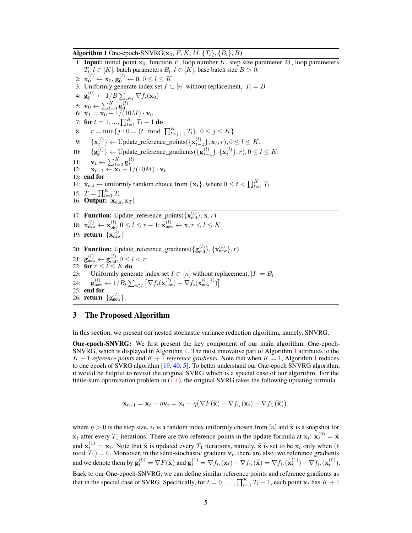Algorithm 1 One-epoch-SNVRG( $\mathbf{x}_0$ , F, K, M,  $\{T_l\}$ ,  $\{B_l\}$ , B)

<span id="page-4-4"></span><span id="page-4-2"></span><span id="page-4-0"></span>1: **Input:** initial point  $x_0$ , function F, loop number K, step size parameter M, loop parameters  $T_{l, l} \in [K]$ , batch parameters  $B_{l, l} \in [K]$ , base batch size  $B > 0$ . 2:  $\mathbf{x}_0^{(l)} \leftarrow \mathbf{x}_0, \mathbf{g}_0^{(l)} \leftarrow 0, 0 \le l \le K$ 3: Uniformly generate index set  $I \subset [n]$  without replacement,  $|I| = B$ 4:  $\mathbf{g}_0^{(0)} \leftarrow 1/B \sum_{i \in I} \nabla f_i(\mathbf{x}_0)$ 5:  $\mathbf{v}_0 \leftarrow \sum_{l=0}^K \mathbf{g}_0^{(l)} \ \text{6: } \mathbf{x}_1 = \mathbf{x}_0 - 1/(10M) \cdot \mathbf{v}_0$ 7: for  $t = 1, ..., \prod_{l=1}^{K} T_l - 1$  do 8:  $r = \min\{j : 0 = (t \mod \prod_{l=j+1}^{K} T_l), 0 \le j \le K\}$ 9:  $\{x_t^{(t)}\} \leftarrow \text{Update\_reference\_points}(\{x_{t-1}^{(t)}\})$  $\{u^{(l)}_{t}\}\leftarrow \text{Update\_reference\_points}(\{\mathbf{x}^{(l)}_{t-1}\}, \mathbf{x}_t, r), 0\leq l\leq K.$ 10:  $\{g_t^{(l)}\} \leftarrow \text{Update\_reference\_gradients}(\{g_{t-1}^{(l)}\}, \{x_t^{(l)}\}, r), 0 \le l \le K.$ 11:  $\mathbf{v}_t \leftarrow \sum_{l=0}^K \mathbf{g}_t^{(l)}$ <br>
12:  $\mathbf{x}_{t+1} \leftarrow \mathbf{x}_t - 1/(10M) \cdot \mathbf{v}_t$ 13: end for 14:  $\mathbf{x}_{out} \leftarrow$  uniformly random choice from  $\{\mathbf{x}_t\}$ , where  $0 \le t < \prod_{l=1}^K T_l$ 15:  $T = \prod_{l=1}^{K} T_l$ 16: **Output:**  $[\mathbf{x}_{out}, \mathbf{x}_T]$ 17: **Function:** Update\_reference\_points( $\{ \mathbf{x}_{old}^{(l)} \}, \mathbf{x}, r$ ) 18:  $\mathbf{x}_{\text{new}}^{(l)} \leftarrow \mathbf{x}_{\text{old},l}^{(l)} 0 \le l \le r - 1; \mathbf{x}_{\text{new}}^{(l)} \leftarrow \mathbf{x}, r \le l \le K$ 19: **return**  $\{ \mathbf{x}_{\text{new}}^{(l)} \}$ 20: **Function:** Update\_reference\_gradients({ $\mathbf{g}_{old}^{(l)}$ }, { $\mathbf{x}_{new}^{(l)}$ }, *r*) 21:  $\mathbf{g}_{\text{new}}^{(l)} \leftarrow \mathbf{g}_{\text{old}}^{(l)}, 0 \le l < r$ 22: for  $r \leq l \leq K$  do 23: Uniformly generate index set  $I \subset [n]$  without replacement,  $|I| = B_l$ 24:  $\mathbf{g}_{\text{new}}^{(l)} \leftarrow 1/B_l \sum_{i \in I} \left[ \nabla f_i(\mathbf{x}_{\text{new}}^{(l)}) - \nabla f_i(\mathbf{x}_{\text{new}}^{(l-1)}) \right]$ 25: end for 26: **return**  $\{g_{\text{new}}^{(l)}\}.$ 

# <span id="page-4-6"></span><span id="page-4-5"></span><span id="page-4-3"></span>3 The Proposed Algorithm

In this section, we present our nested stochastic variance reduction algorithm, namely, SNVRG.

One-epoch-SNVRG: We first present the key component of our main algorithm, One-epoch-SNVRG, which is displayed in Algorithm [1.](#page-4-0) The most innovative part of Algorithm [1](#page-4-0) attributes to the  $K + 1$  $K + 1$  *reference points* and  $K + 1$  *reference gradients*. Note that when  $K = 1$ , Algorithm 1 reduces to one epoch of SVRG algorithm [\[19,](#page-10-1) [40,](#page-11-4) [5\]](#page-9-7). To better understand our One-epoch SNVRG algorithm, it would be helpful to revisit the original SVRG which is a special case of our algorithm. For the finite-sum optimization problem in  $(1.1)$ , the original SVRG takes the following updating formula

<span id="page-4-1"></span>
$$
\mathbf{x}_{t+1} = \mathbf{x}_t - \eta \mathbf{v}_t = \mathbf{x}_t - \eta \big( \nabla F(\widetilde{\mathbf{x}}) + \nabla f_{i_t}(\mathbf{x}_t) - \nabla f_{i_t}(\widetilde{\mathbf{x}}) \big),
$$

where  $\eta > 0$  is the step size,  $i_t$  is a random index uniformly chosen from [n] and  $\tilde{\mathbf{x}}$  is a snapshot for  $x_t$  after every  $T_1$  iterations. There are two reference points in the update formula at  $x_t$ :  $x_t^{(0)} = \tilde{x}_t^{(0)}$ and  $\mathbf{x}_t^{(1)} = \mathbf{x}_t$ . Note that  $\tilde{\mathbf{x}}$  is updated every  $T_1$  iterations, namely,  $\tilde{\mathbf{x}}$  is set to be  $\mathbf{x}_t$  only when (*t* mod  $T_1$ ) = 0. Moreover, in the semi-stochastic gradient  $\mathbf{v}_t$ , there are also and we denote them by  $\mathbf{g}_t^{(0)} = \nabla F(\tilde{\mathbf{x}})$  and  $\mathbf{g}_t^{(1)} = \nabla f_{i_t}(\mathbf{x}_t) - \nabla f_{i_t}(\tilde{\mathbf{x}}) = \nabla f_{i_t}(\mathbf{x}_t^{(1)}) - \nabla f_{i_t}(\mathbf{x}_t^{(0)}).$ Back to our One-epoch-SNVRG, we can define similar reference points and reference gradients as that in the special case of SVRG. Specifically, for  $t = 0, \ldots, \prod_{l=1}^{K} T_l - 1$ , each point  $\mathbf{x}_t$  has  $K + 1$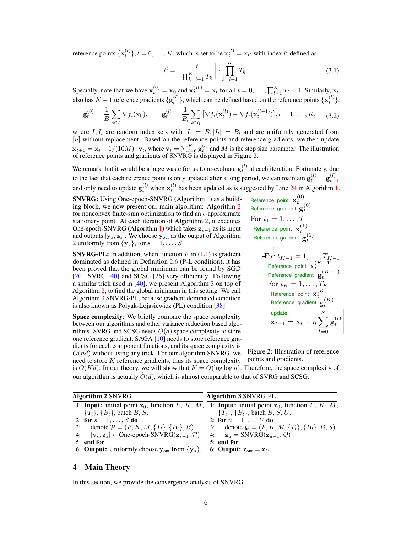reference points  $\{x_t^{(l)}\}, l = 0, \ldots, K$ , which is set to be  $x_t^{(l)} = x_{t^l}$  with index  $t^l$  defined as

$$
t^{l} = \left\lfloor \frac{t}{\prod_{k=l+1}^{K} T_k} \right\rfloor \cdot \prod_{k=l+1}^{K} T_k.
$$
 (3.1)

Specially, note that we have  $\mathbf{x}_t^{(0)} = \mathbf{x}_0$  and  $\mathbf{x}_t^{(K)} = \mathbf{x}_t$  for all  $t = 0, \dots, \prod_{l=1}^K T_l - 1$ . Similarly,  $\mathbf{x}_t$ also has  $K + 1$  reference gradients  $\{g_t^{(l)}\}$ , which can be defined based on the reference points  $\{x_t^{(l)}\}$ :

$$
\mathbf{g}_t^{(0)} = \frac{1}{B} \sum_{i \in I} \nabla f_i(\mathbf{x}_0), \qquad \mathbf{g}_t^{(l)} = \frac{1}{B_l} \sum_{i \in I_l} \left[ \nabla f_i(\mathbf{x}_t^{(l)}) - \nabla f_i(\mathbf{x}_t^{(l-1)}) \right], l = 1, ..., K,
$$
 (3.2)

where I,  $I_l$  are random index sets with  $|I| = B$ ,  $|I_l| = B_l$  and are uniformly generated from  $[n]$  without replacement. Based on the reference points and reference gradients, we then update  $\mathbf{x}_{t+1} = \mathbf{x}_t - 1/(10M) \cdot \mathbf{v}_t$ , where  $\mathbf{v}_t = \sum_{l=0}^{K} \mathbf{g}_t^{(l)}$  and M is the step size parameter. The illustration of reference points and gradients of SNVRG is displayed in Figure [2.](#page-5-0)

We remark that it would be a huge waste for us to re-evaluate  $g_t^{(l)}$  at each iteration. Fortunately, due to the fact that each reference point is only updated after a long period, we can maintain  $\mathbf{g}_t^{(l)} = \mathbf{g}_{t-}^{(l)}$  $t-1$ and only need to update  $\mathbf{g}_t^{(l)}$  when  $\mathbf{x}_t^{(l)}$  has been updated as is suggested by Line [24](#page-4-1) in Algorithm [1.](#page-4-0)

SNVRG: Using One-epoch-SNVRG (Algorithm [1\)](#page-4-0) as a building block, we now present our main algorithm: Algorithm [2](#page-5-1) for nonconvex finite-sum optimization to find an  $\epsilon$ -approximate stationary point. At each iteration of Algorithm [2,](#page-5-1) it executes One-epoch-SNVRG (Algorithm [1\)](#page-4-0) which takes  $z_{s-1}$  as its input and outputs  $[\mathbf{y}_s, \mathbf{z}_s]$ . We choose  $\mathbf{y}_{out}$  as the output of Algorithm [2](#page-5-1) uniformly from  $\{y_s\}$ , for  $s = 1, \ldots, S$ .

**SNVRG-PL:** In addition, when function  $F$  in  $(1.1)$  is gradient dominated as defined in Definition [2.6](#page-3-2) (P-L condition), it has been proved that the global minimum can be found by SGD [\[20\]](#page-10-15), SVRG [\[40\]](#page-11-4) and SCSG [\[26\]](#page-10-5) very efficiently. Following a similar trick used in [\[40\]](#page-11-4), we present Algorithm [3](#page-5-2) on top of Algorithm [2,](#page-5-1) to find the global minimum in this setting. We call Algorithm [3](#page-5-2) SNVRG-PL, because gradient dominated condition is also known as Polyak-Lojasiewicz (PL) condition [\[38\]](#page-10-14).

Space complexity: We briefly compare the space complexity between our algorithms and other variance reduction based algorithms. SVRG and SCSG needs  $O(d)$  space complexity to store one reference gradient, SAGA [\[10\]](#page-9-2) needs to store reference gradients for each component functions, and its space complexity is  $O(nd)$  without using any trick. For our algorithm SNVRG, we

need to store  $K$  reference gradients, thus its space complexity

<span id="page-5-4"></span>Reference point 
$$
\mathbf{x}_t^{(0)}
$$
\nReference gradient  $\mathbf{g}_t^{(0)}$ \nFor  $t_1 = 1, \ldots, T_1$ \nReference point  $\mathbf{x}_t^{(1)}$ \nReference gradient  $\mathbf{g}_t^{(1)}$ \n\nTherefore gradient  $\mathbf{g}_t^{(1)}$ \n\nTherefore point  $\mathbf{x}_t^{(K-1)}$ \n\nReference point  $\mathbf{x}_t^{(K-1)}$ \n\nReference gradient  $\mathbf{g}_t^{(K-1)}$ \n\nTherefore gradient  $\mathbf{g}_t^{(K-1)}$ \n\nTherefore gradient  $\mathbf{g}_t^{(K)}$ \n\nReference gradient  $\mathbf{g}_t^{(K)}$ \n\nTherefore gradient  $\mathbf{g}_t^{(K)}$ \n\nupdate  $\mathbf{x}_{t+1} = \mathbf{x}_t - \eta \sum_{l=0}^{K} \mathbf{g}_t^{(l)}$ 

<span id="page-5-2"></span><span id="page-5-0"></span>Figure 2: Illustration of reference points and gradients.

is  $O(Kd)$ . In our theory, we will show that  $K = O(\log \log n)$ . Therefore, the space complexity of our algorithm is actually  $\tilde{O}(d)$ , which is almost comparable to that of SVRG and SCSG.

<span id="page-5-1"></span>

| <b>Algorithm 2 SNVRG</b>                                                                       | <b>Algorithm 3 SNVRG-PL</b>                                                                                       |
|------------------------------------------------------------------------------------------------|-------------------------------------------------------------------------------------------------------------------|
|                                                                                                | 1: <b>Input:</b> initial point $z_0$ , function F, K, M, 1: <b>Input:</b> initial point $z_0$ , function F, K, M, |
| ${T_l}, {B_l}, \text{batch }B, S.$                                                             | ${T_l}, {B_l}, \text{batch }B, S, U.$                                                                             |
| 2: for $s = 1, , S$ do                                                                         | 2: for $u = 1, , U$ do                                                                                            |
| 3: denote $P = (F, K, M, \{T_l\}, \{B_l\}, B)$                                                 | 3: denote $Q = (F, K, M, \{T_l\}, \{B_l\}, B, S)$                                                                 |
| 4: $[\mathbf{y}_s, \mathbf{z}_s] \leftarrow$ One-epoch-SNVRG $(\mathbf{z}_{s-1}, \mathcal{P})$ | 4: $\mathbf{z}_u = \text{SNVRG}(\mathbf{z}_{u-1}, \mathcal{Q})$                                                   |
| $5:$ end for                                                                                   | $5:$ end for                                                                                                      |
| 6: <b>Output:</b> Uniformly choose $y_{\text{out}}$ from $\{y_s\}$ .                           | 6: <b>Output:</b> $\mathbf{z}_{\text{out}} = \mathbf{z}_{U}$ .                                                    |

#### <span id="page-5-3"></span>4 Main Theory

In this section, we provide the convergence analysis of SNVRG.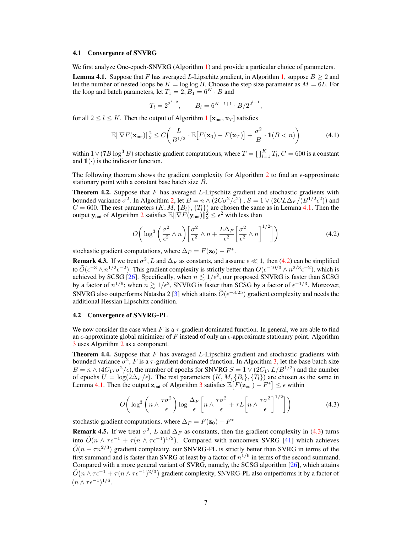#### 4.1 Convergence of SNVRG

We first analyze One-epoch-SNVRG (Algorithm [1\)](#page-4-0) and provide a particular choice of parameters.

<span id="page-6-0"></span>**Lemma 4.1.** Suppose that F has averaged L-Lipschitz gradient, in Algorithm [1,](#page-4-0) suppose  $B \ge 2$  and let the number of nested loops be  $K = \log \log B$ . Choose the step size parameter as  $M = 6L$ . For the loop and batch parameters, let  $T_1 = 2$ ,  $B_1 = 6<sup>K</sup> \cdot B$  and

<span id="page-6-4"></span>
$$
T_l = 2^{2^{l-2}}
$$
,  $B_l = 6^{K-l+1} \cdot B/2^{2^{l-1}}$ ,

for all  $2 \leq l \leq K$ . Then the output of Algorithm [1](#page-4-0) [ $\mathbf{x}_{out}, \mathbf{x}_T$ ] satisfies

$$
\mathbb{E} \|\nabla F(\mathbf{x}_{\text{out}})\|_{2}^{2} \le C \bigg(\frac{L}{B^{1/2}} \cdot \mathbb{E}\big[F(\mathbf{x}_{0}) - F(\mathbf{x}_{T})\big] + \frac{\sigma^{2}}{B} \cdot \mathbb{1}(B < n)\bigg) \tag{4.1}
$$

within  $1 \vee (7B \log^3 B)$  stochastic gradient computations, where  $T = \prod_{l=1}^K T_l$ ,  $C = 600$  is a constant and  $\mathbb{1}(\cdot)$  is the indicator function.

The following theorem shows the gradient complexity for Algorithm [2](#page-5-1) to find an  $\epsilon$ -approximate stationary point with a constant base batch size B.

<span id="page-6-5"></span>**Theorem 4.2.** Suppose that  $F$  has averaged  $L$ -Lipschitz gradient and stochastic gradients with bounded variance  $\sigma^2$ . In Algorithm [2,](#page-5-1) let  $B = n \wedge (2C\sigma^2/\epsilon^2)$ ,  $S = 1 \vee (2CL\Delta_F/(B^{1/2}\epsilon^2))$  and  $C = 600$ . The rest parameters  $(K, M, \{B_l\}, \{T_l\})$  are chosen the same as in Lemma [4.1.](#page-6-0) Then the output  $\mathbf{y}_{\text{out}}$  of Algorithm [2](#page-5-1) satisfies  $\mathbb{E} \|\nabla F(\mathbf{y}_{\text{out}})\|_2^2 \leq \epsilon^2$  with less than

<span id="page-6-1"></span>
$$
O\bigg(\log^3\bigg(\frac{\sigma^2}{\epsilon^2}\wedge n\bigg)\bigg[\frac{\sigma^2}{\epsilon^2}\wedge n+\frac{L\Delta_F}{\epsilon^2}\bigg[\frac{\sigma^2}{\epsilon^2}\wedge n\bigg]^{1/2}\bigg]\bigg)
$$
(4.2)

stochastic gradient computations, where  $\Delta_F = F(\mathbf{z}_0) - F^*$ .

**Remark 4.3.** If we treat  $\sigma^2$ , L and  $\Delta_F$  as constants, and assume  $\epsilon \ll 1$ , then [\(4.2\)](#page-6-1) can be simplified to  $\tilde{O}(\epsilon^{-3} \wedge n^{1/2} \epsilon^{-2})$ . This gradient complexity is strictly better than  $O(\epsilon^{-10/3} \wedge n^{2/3} \epsilon^{-2})$ , which is achieved by SCSG [\[26\]](#page-10-5). Specifically, when  $n \lesssim 1/\epsilon^2$ , our proposed SNVRG is faster than SCSG by a factor of  $n^{1/6}$ ; when  $n \gtrsim 1/\epsilon^2$ , SNVRG is faster than SCSG by a factor of  $\epsilon^{-1/3}$ . Moreover, SNVRG also outperforms Natasha 2 [\[3\]](#page-9-15) which attains  $\tilde{O}(\epsilon^{-3.25})$  gradient complexity and needs the additional Hessian Lipschitz condition.

#### 4.2 Convergence of SNVRG-PL

We now consider the case when F is a  $\tau$ -gradient dominated function. In general, we are able to find an  $\epsilon$ -approximate global minimizer of F instead of only an  $\epsilon$ -approximate stationary point. Algorithm [3](#page-5-2) uses Algorithm [2](#page-5-1) as a component.

<span id="page-6-3"></span>**Theorem 4.4.** Suppose that  $F$  has averaged  $L$ -Lipschitz gradient and stochastic gradients with bounded variance  $\sigma^2$ , F is a  $\tau$ -gradient dominated function. In Algorithm [3,](#page-5-2) let the base batch size  $B = n \wedge (4C_1 \tau \sigma^2 / \epsilon)$ , the number of epochs for SNVRG  $S = 1 \vee (2C_1 \tau L / B^{1/2})$  and the number of epochs  $U = \log(2\Delta_F/\epsilon)$ . The rest parameters  $(K, M, \{B_l\}, \{T_l\})$  are chosen as the same in Lemma [4.1.](#page-6-0) Then the output  $\mathbf{z}_{out}$  of Algorithm [3](#page-5-2) satisfies  $\mathbb{E}\big[F(\mathbf{z}_{out}) - F^*\big] \leq \epsilon$  within

<span id="page-6-2"></span>
$$
O\left(\log^3\left(n\wedge\frac{\tau\sigma^2}{\epsilon}\right)\log\frac{\Delta_F}{\epsilon}\left[n\wedge\frac{\tau\sigma^2}{\epsilon}+\tau L\left[n\wedge\frac{\tau\sigma^2}{\epsilon}\right]^{1/2}\right]\right) \tag{4.3}
$$

stochastic gradient computations, where  $\Delta_F = F(\mathbf{z}_0) - F^*$ 

**Remark 4.5.** If we treat  $\sigma^2$ , L and  $\Delta_F$  as constants, then the gradient complexity in [\(4.3\)](#page-6-2) turns into  $\tilde{O}(n \wedge \tau \epsilon^{-1} + \tau (n \wedge \tau \epsilon^{-1})^{1/2})$ . Compared with nonconvex SVRG [\[41\]](#page-11-5) which achieves  $\widetilde{O}(n + \tau n^{2/3})$  gradient complexity, our SNVRG-PL is strictly better than SVRG in terms of the first summand and is faster than SVRG at least by a factor of  $n^{1/6}$  in terms of the second summand. Compared with a more general variant of SVRG, namely, the SCSG algorithm [\[26\]](#page-10-5), which attains  $\widetilde{O}(n \wedge \tau \epsilon^{-1} + \tau (n \wedge \tau \epsilon^{-1})^{2/3})$  gradient complexity, SNVRG-PL also outperforms it by a factor of  $(n \wedge \tau \epsilon^{-1})^{1/6}.$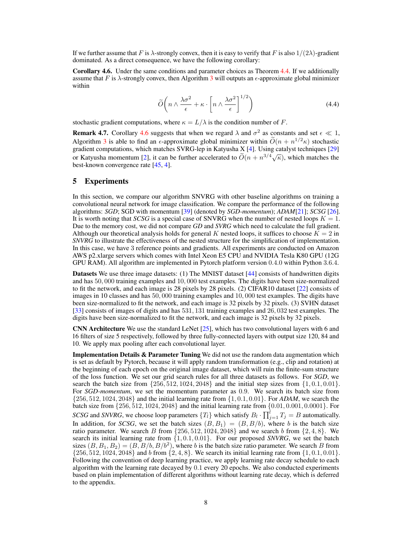If we further assume that F is  $\lambda$ -strongly convex, then it is easy to verify that F is also  $1/(2\lambda)$ -gradient dominated. As a direct consequence, we have the following corollary:

<span id="page-7-0"></span>Corollary 4.6. Under the same conditions and parameter choices as Theorem [4.4.](#page-6-3) If we additionally assume that F is  $\lambda$ -strongly convex, then Algorithm [3](#page-5-2) will outputs an  $\epsilon$ -approximate global minimizer within

$$
\widetilde{O}\left(n \wedge \frac{\lambda \sigma^2}{\epsilon} + \kappa \cdot \left[n \wedge \frac{\lambda \sigma^2}{\epsilon}\right]^{1/2}\right) \tag{4.4}
$$

stochastic gradient computations, where  $\kappa = L/\lambda$  is the condition number of F.

**Remark 4.7.** Corollary [4.6](#page-7-0) suggests that when we regard  $\lambda$  and  $\sigma^2$  as constants and set  $\epsilon \ll 1$ , Algorithm [3](#page-5-2) is able to find an  $\epsilon$ -approximate global minimizer within  $O(n + n^{1/2} \kappa)$  stochastic gradient computations, which matches SVRG-lep in Katyusha X [\[4\]](#page-9-17). Using catalyst techniques [\[29\]](#page-10-9) or Katyusha momentum [\[2\]](#page-9-14), it can be further accelerated to  $\tilde{O}(n + n^{3/4}\sqrt{\kappa})$ , which matches the best-known convergence rate [\[45,](#page-11-6) [4\]](#page-9-17).

# <span id="page-7-1"></span>5 Experiments

In this section, we compare our algorithm SNVRG with other baseline algorithms on training a convolutional neural network for image classification. We compare the performance of the following algorithms: *SGD*; SGD with momentum [\[39\]](#page-10-16) (denoted by *SGD-momentum*); *ADAM*[\[21\]](#page-10-17); *SCSG* [\[26\]](#page-10-5). It is worth noting that *SCSG* is a special case of SNVRG when the number of nested loops  $K = 1$ . Due to the memory cost, we did not compare *GD* and *SVRG* which need to calculate the full gradient. Although our theoretical analysis holds for general K nested loops, it suffices to choose  $\overline{K} = 2$  in *SNVRG* to illustrate the effectiveness of the nested structure for the simplification of implementation. In this case, we have 3 reference points and gradients. All experiments are conducted on Amazon AWS p2.xlarge servers which comes with Intel Xeon E5 CPU and NVIDIA Tesla K80 GPU (12G GPU RAM). All algorithm are implemented in Pytorch platform version 0.4.0 within Python 3.6.4.

Datasets We use three image datasets: (1) The MNIST dataset [\[44\]](#page-11-7) consists of handwritten digits and has 50, 000 training examples and 10, 000 test examples. The digits have been size-normalized to fit the network, and each image is 28 pixels by 28 pixels. (2) CIFAR10 dataset [\[22\]](#page-10-18) consists of images in 10 classes and has 50, 000 training examples and 10, 000 test examples. The digits have been size-normalized to fit the network, and each image is 32 pixels by 32 pixels. (3) SVHN dataset [\[33\]](#page-10-19) consists of images of digits and has 531, 131 training examples and 26, 032 test examples. The digits have been size-normalized to fit the network, and each image is 32 pixels by 32 pixels.

CNN Architecture We use the standard LeNet  $[25]$ , which has two convolutional layers with 6 and 16 filters of size 5 respectively, followed by three fully-connected layers with output size 120, 84 and 10. We apply max pooling after each convolutional layer.

Implementation Details & Parameter Tuning We did not use the random data augmentation which is set as default by Pytorch, because it will apply random transformation (e.g., clip and rotation) at the beginning of each epoch on the original image dataset, which will ruin the finite-sum structure of the loss function. We set our grid search rules for all three datasets as follows. For *SGD*, we search the batch size from  $\{256, 512, 1024, 2048\}$  and the initial step sizes from  $\{1, 0.1, 0.01\}$ . For *SGD-momentum*, we set the momentum parameter as 0.9. We search its batch size from {256, 512, 1024, 2048} and the initial learning rate from {1, 0.1, 0.01}. For *ADAM*, we search the batch size from {256, 512, 1024, 2048} and the initial learning rate from {0.01, 0.001, 0.0001}. For *SCSG* and *SNVRG*, we choose loop parameters  $\{T_l\}$  which satisfy  $B_l \cdot \prod_{j=1}^l T_j = B$  automatically. In addition, for *SCSG*, we set the batch sizes  $(B, B_1) = (B, B/b)$ , where b is the batch size ratio parameter. We search B from  $\{256, 512, 1024, 2048\}$  and we search b from  $\{2, 4, 8\}$ . We search its initial learning rate from  $\{1, 0.1, 0.01\}$ . For our proposed *SNVRG*, we set the batch sizes  $(B, B_1, B_2) = (B, B/b, B/b^2)$ , where b is the batch size ratio parameter. We search B from  $\{256, 512, 1024, 2048\}$  and b from  $\{2, 4, 8\}$ . We search its initial learning rate from  $\{1, 0.1, 0.01\}$ . Following the convention of deep learning practice, we apply learning rate decay schedule to each algorithm with the learning rate decayed by 0.1 every 20 epochs. We also conducted experiments based on plain implementation of different algorithms without learning rate decay, which is deferred to the appendix.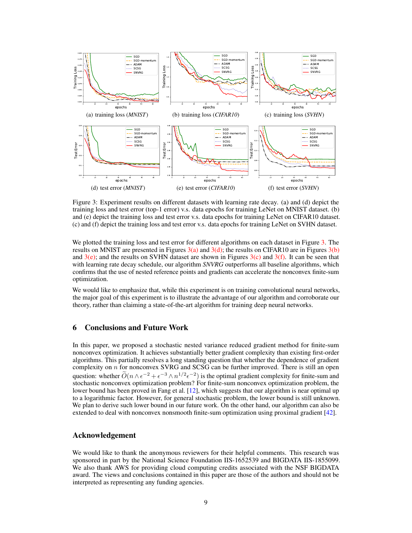<span id="page-8-5"></span><span id="page-8-3"></span><span id="page-8-2"></span><span id="page-8-1"></span>

<span id="page-8-6"></span><span id="page-8-4"></span><span id="page-8-0"></span>Figure 3: Experiment results on different datasets with learning rate decay. (a) and (d) depict the training loss and test error (top-1 error) v.s. data epochs for training LeNet on MNIST dataset. (b) and (e) depict the training loss and test error v.s. data epochs for training LeNet on CIFAR10 dataset. (c) and (f) depict the training loss and test error v.s. data epochs for training LeNet on SVHN dataset.

We plotted the training loss and test error for different algorithms on each dataset in Figure [3.](#page-8-0) The results on MNIST are presented in Figures  $3(a)$  and  $3(d)$ ; the results on CIFAR10 are in Figures  $3(b)$ and  $3(e)$ ; and the results on SVHN dataset are shown in Figures  $3(c)$  and  $3(f)$ . It can be seen that with learning rate decay schedule, our algorithm *SNVRG* outperforms all baseline algorithms, which confirms that the use of nested reference points and gradients can accelerate the nonconvex finite-sum optimization.

We would like to emphasize that, while this experiment is on training convolutional neural networks, the major goal of this experiment is to illustrate the advantage of our algorithm and corroborate our theory, rather than claiming a state-of-the-art algorithm for training deep neural networks.

# 6 Conclusions and Future Work

In this paper, we proposed a stochastic nested variance reduced gradient method for finite-sum nonconvex optimization. It achieves substantially better gradient complexity than existing first-order algorithms. This partially resolves a long standing question that whether the dependence of gradient complexity on  $n$  for nonconvex SVRG and SCSG can be further improved. There is still an open question: whether  $\tilde{O}(n \wedge \epsilon^{-2} + \epsilon^{-3} \wedge n^{1/2} \epsilon^{-2})$  is the optimal gradient complexity for finite-sum and stochastic nonconvex optimization problem? For finite-sum nonconvex optimization problem, the lower bound has been proved in Fang et al. [\[12\]](#page-9-16), which suggests that our algorithm is near optimal up to a logarithmic factor. However, for general stochastic problem, the lower bound is still unknown. We plan to derive such lower bound in our future work. On the other hand, our algorithm can also be extended to deal with nonconvex nonsmooth finite-sum optimization using proximal gradient [\[42\]](#page-11-8).

## Acknowledgement

We would like to thank the anonymous reviewers for their helpful comments. This research was sponsored in part by the National Science Foundation IIS-1652539 and BIGDATA IIS-1855099. We also thank AWS for providing cloud computing credits associated with the NSF BIGDATA award. The views and conclusions contained in this paper are those of the authors and should not be interpreted as representing any funding agencies.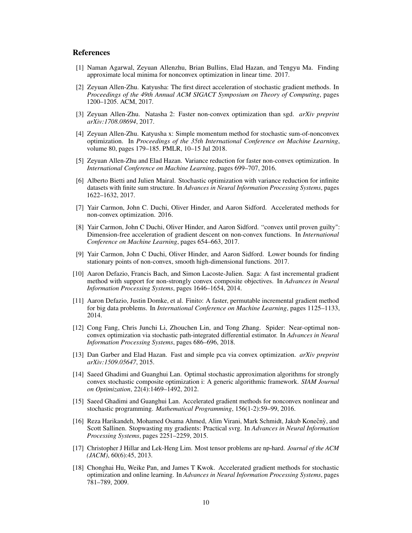# **References**

- <span id="page-9-9"></span>[1] Naman Agarwal, Zeyuan Allenzhu, Brian Bullins, Elad Hazan, and Tengyu Ma. Finding approximate local minima for nonconvex optimization in linear time. 2017.
- <span id="page-9-14"></span>[2] Zeyuan Allen-Zhu. Katyusha: The first direct acceleration of stochastic gradient methods. In *Proceedings of the 49th Annual ACM SIGACT Symposium on Theory of Computing*, pages 1200–1205. ACM, 2017.
- <span id="page-9-15"></span>[3] Zeyuan Allen-Zhu. Natasha 2: Faster non-convex optimization than sgd. *arXiv preprint arXiv:1708.08694*, 2017.
- <span id="page-9-17"></span>[4] Zeyuan Allen-Zhu. Katyusha x: Simple momentum method for stochastic sum-of-nonconvex optimization. In *Proceedings of the 35th International Conference on Machine Learning*, volume 80, pages 179–185. PMLR, 10–15 Jul 2018.
- <span id="page-9-7"></span>[5] Zeyuan Allen-Zhu and Elad Hazan. Variance reduction for faster non-convex optimization. In *International Conference on Machine Learning*, pages 699–707, 2016.
- <span id="page-9-3"></span>[6] Alberto Bietti and Julien Mairal. Stochastic optimization with variance reduction for infinite datasets with finite sum structure. In *Advances in Neural Information Processing Systems*, pages 1622–1632, 2017.
- <span id="page-9-10"></span>[7] Yair Carmon, John C. Duchi, Oliver Hinder, and Aaron Sidford. Accelerated methods for non-convex optimization. 2016.
- <span id="page-9-11"></span>[8] Yair Carmon, John C Duchi, Oliver Hinder, and Aaron Sidford. "convex until proven guilty": Dimension-free acceleration of gradient descent on non-convex functions. In *International Conference on Machine Learning*, pages 654–663, 2017.
- <span id="page-9-8"></span>[9] Yair Carmon, John C Duchi, Oliver Hinder, and Aaron Sidford. Lower bounds for finding stationary points of non-convex, smooth high-dimensional functions. 2017.
- <span id="page-9-2"></span>[10] Aaron Defazio, Francis Bach, and Simon Lacoste-Julien. Saga: A fast incremental gradient method with support for non-strongly convex composite objectives. In *Advances in Neural Information Processing Systems*, pages 1646–1654, 2014.
- <span id="page-9-4"></span>[11] Aaron Defazio, Justin Domke, et al. Finito: A faster, permutable incremental gradient method for big data problems. In *International Conference on Machine Learning*, pages 1125–1133, 2014.
- <span id="page-9-16"></span>[12] Cong Fang, Chris Junchi Li, Zhouchen Lin, and Tong Zhang. Spider: Near-optimal nonconvex optimization via stochastic path-integrated differential estimator. In *Advances in Neural Information Processing Systems*, pages 686–696, 2018.
- <span id="page-9-6"></span>[13] Dan Garber and Elad Hazan. Fast and simple pca via convex optimization. *arXiv preprint arXiv:1509.05647*, 2015.
- <span id="page-9-13"></span>[14] Saeed Ghadimi and Guanghui Lan. Optimal stochastic approximation algorithms for strongly convex stochastic composite optimization i: A generic algorithmic framework. *SIAM Journal on Optimization*, 22(4):1469–1492, 2012.
- <span id="page-9-1"></span>[15] Saeed Ghadimi and Guanghui Lan. Accelerated gradient methods for nonconvex nonlinear and stochastic programming. *Mathematical Programming*, 156(1-2):59–99, 2016.
- <span id="page-9-5"></span>[16] Reza Harikandeh, Mohamed Osama Ahmed, Alim Virani, Mark Schmidt, Jakub Konečnỳ, and Scott Sallinen. Stopwasting my gradients: Practical svrg. In *Advances in Neural Information Processing Systems*, pages 2251–2259, 2015.
- <span id="page-9-0"></span>[17] Christopher J Hillar and Lek-Heng Lim. Most tensor problems are np-hard. *Journal of the ACM (JACM)*, 60(6):45, 2013.
- <span id="page-9-12"></span>[18] Chonghai Hu, Weike Pan, and James T Kwok. Accelerated gradient methods for stochastic optimization and online learning. In *Advances in Neural Information Processing Systems*, pages 781–789, 2009.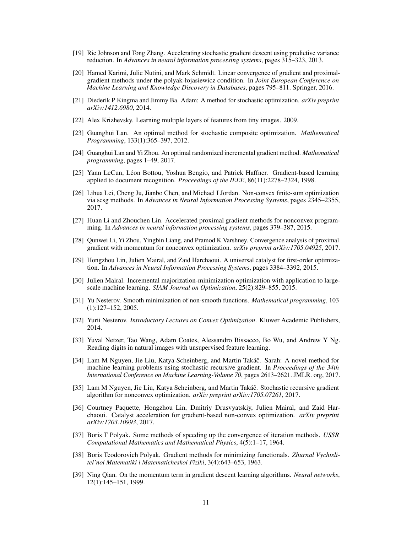- <span id="page-10-1"></span>[19] Rie Johnson and Tong Zhang. Accelerating stochastic gradient descent using predictive variance reduction. In *Advances in neural information processing systems*, pages 315–323, 2013.
- <span id="page-10-15"></span>[20] Hamed Karimi, Julie Nutini, and Mark Schmidt. Linear convergence of gradient and proximalgradient methods under the polyak-łojasiewicz condition. In *Joint European Conference on Machine Learning and Knowledge Discovery in Databases*, pages 795–811. Springer, 2016.
- <span id="page-10-17"></span>[21] Diederik P Kingma and Jimmy Ba. Adam: A method for stochastic optimization. *arXiv preprint arXiv:1412.6980*, 2014.
- <span id="page-10-18"></span>[22] Alex Krizhevsky. Learning multiple layers of features from tiny images. 2009.
- <span id="page-10-8"></span>[23] Guanghui Lan. An optimal method for stochastic composite optimization. *Mathematical Programming*, 133(1):365–397, 2012.
- <span id="page-10-13"></span>[24] Guanghui Lan and Yi Zhou. An optimal randomized incremental gradient method. *Mathematical programming*, pages 1–49, 2017.
- <span id="page-10-20"></span>[25] Yann LeCun, Léon Bottou, Yoshua Bengio, and Patrick Haffner. Gradient-based learning applied to document recognition. *Proceedings of the IEEE*, 86(11):2278–2324, 1998.
- <span id="page-10-5"></span>[26] Lihua Lei, Cheng Ju, Jianbo Chen, and Michael I Jordan. Non-convex finite-sum optimization via scsg methods. In *Advances in Neural Information Processing Systems*, pages 2345–2355, 2017.
- <span id="page-10-10"></span>[27] Huan Li and Zhouchen Lin. Accelerated proximal gradient methods for nonconvex programming. In *Advances in neural information processing systems*, pages 379–387, 2015.
- <span id="page-10-12"></span>[28] Qunwei Li, Yi Zhou, Yingbin Liang, and Pramod K Varshney. Convergence analysis of proximal gradient with momentum for nonconvex optimization. *arXiv preprint arXiv:1705.04925*, 2017.
- <span id="page-10-9"></span>[29] Hongzhou Lin, Julien Mairal, and Zaid Harchaoui. A universal catalyst for first-order optimization. In *Advances in Neural Information Processing Systems*, pages 3384–3392, 2015.
- <span id="page-10-2"></span>[30] Julien Mairal. Incremental majorization-minimization optimization with application to largescale machine learning. *SIAM Journal on Optimization*, 25(2):829–855, 2015.
- <span id="page-10-7"></span>[31] Yu Nesterov. Smooth minimization of non-smooth functions. *Mathematical programming*, 103 (1):127–152, 2005.
- <span id="page-10-0"></span>[32] Yurii Nesterov. *Introductory Lectures on Convex Optimization*. Kluwer Academic Publishers, 2014.
- <span id="page-10-19"></span>[33] Yuval Netzer, Tao Wang, Adam Coates, Alessandro Bissacco, Bo Wu, and Andrew Y Ng. Reading digits in natural images with unsupervised feature learning.
- <span id="page-10-3"></span>[34] Lam M Nguyen, Jie Liu, Katya Scheinberg, and Martin Takáč. Sarah: A novel method for machine learning problems using stochastic recursive gradient. In *Proceedings of the 34th International Conference on Machine Learning-Volume 70*, pages 2613–2621. JMLR. org, 2017.
- <span id="page-10-4"></span>[35] Lam M Nguyen, Jie Liu, Katya Scheinberg, and Martin Takáč. Stochastic recursive gradient algorithm for nonconvex optimization. *arXiv preprint arXiv:1705.07261*, 2017.
- <span id="page-10-11"></span>[36] Courtney Paquette, Hongzhou Lin, Dmitriy Drusvyatskiy, Julien Mairal, and Zaid Harchaoui. Catalyst acceleration for gradient-based non-convex optimization. *arXiv preprint arXiv:1703.10993*, 2017.
- <span id="page-10-6"></span>[37] Boris T Polyak. Some methods of speeding up the convergence of iteration methods. *USSR Computational Mathematics and Mathematical Physics*, 4(5):1–17, 1964.
- <span id="page-10-14"></span>[38] Boris Teodorovich Polyak. Gradient methods for minimizing functionals. *Zhurnal Vychislitel'noi Matematiki i Matematicheskoi Fiziki*, 3(4):643–653, 1963.
- <span id="page-10-16"></span>[39] Ning Qian. On the momentum term in gradient descent learning algorithms. *Neural networks*, 12(1):145–151, 1999.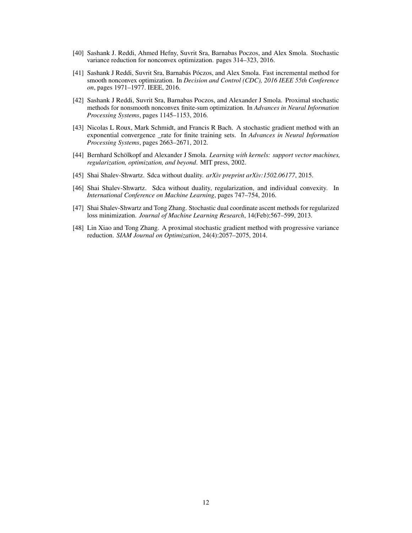- <span id="page-11-4"></span>[40] Sashank J. Reddi, Ahmed Hefny, Suvrit Sra, Barnabas Poczos, and Alex Smola. Stochastic variance reduction for nonconvex optimization. pages 314–323, 2016.
- <span id="page-11-5"></span>[41] Sashank J Reddi, Suvrit Sra, Barnabás Póczos, and Alex Smola. Fast incremental method for smooth nonconvex optimization. In *Decision and Control (CDC), 2016 IEEE 55th Conference on*, pages 1971–1977. IEEE, 2016.
- <span id="page-11-8"></span>[42] Sashank J Reddi, Suvrit Sra, Barnabas Poczos, and Alexander J Smola. Proximal stochastic methods for nonsmooth nonconvex finite-sum optimization. In *Advances in Neural Information Processing Systems*, pages 1145–1153, 2016.
- <span id="page-11-0"></span>[43] Nicolas L Roux, Mark Schmidt, and Francis R Bach. A stochastic gradient method with an exponential convergence \_rate for finite training sets. In *Advances in Neural Information Processing Systems*, pages 2663–2671, 2012.
- <span id="page-11-7"></span>[44] Bernhard Schölkopf and Alexander J Smola. *Learning with kernels: support vector machines, regularization, optimization, and beyond*. MIT press, 2002.
- <span id="page-11-6"></span>[45] Shai Shalev-Shwartz. Sdca without duality. *arXiv preprint arXiv:1502.06177*, 2015.
- <span id="page-11-3"></span>[46] Shai Shalev-Shwartz. Sdca without duality, regularization, and individual convexity. In *International Conference on Machine Learning*, pages 747–754, 2016.
- <span id="page-11-2"></span>[47] Shai Shalev-Shwartz and Tong Zhang. Stochastic dual coordinate ascent methods for regularized loss minimization. *Journal of Machine Learning Research*, 14(Feb):567–599, 2013.
- <span id="page-11-1"></span>[48] Lin Xiao and Tong Zhang. A proximal stochastic gradient method with progressive variance reduction. *SIAM Journal on Optimization*, 24(4):2057–2075, 2014.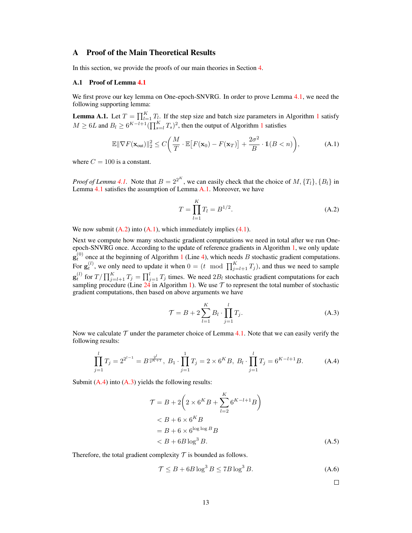# A Proof of the Main Theoretical Results

In this section, we provide the proofs of our main theories in Section [4.](#page-5-3)

#### A.1 Proof of Lemma [4.1](#page-6-0)

We first prove our key lemma on One-epoch-SNVRG. In order to prove Lemma [4.1,](#page-6-0) we need the following supporting lemma:

<span id="page-12-0"></span>**Lemma A.[1](#page-4-0).** Let  $T = \prod_{l=1}^{K} T_l$ . If the step size and batch size parameters in Algorithm 1 satisfy  $M \geq 6L$  and  $B_l \geq 6^{K-l+1} (\prod_{s=l}^{K} T_s)^2$  $B_l \geq 6^{K-l+1} (\prod_{s=l}^{K} T_s)^2$  $B_l \geq 6^{K-l+1} (\prod_{s=l}^{K} T_s)^2$ , then the output of Algorithm 1 satisfies

$$
\mathbb{E} \|\nabla F(\mathbf{x}_{out})\|_2^2 \le C \bigg(\frac{M}{T} \cdot \mathbb{E}\big[F(\mathbf{x}_0) - F(\mathbf{x}_T)\big] + \frac{2\sigma^2}{B} \cdot \mathbb{1}(B < n)\bigg),\tag{A.1}
$$

where  $C = 100$  is a constant.

*Proof of Lemma [4.1.](#page-6-0)* Note that  $B = 2^{2^K}$ , we can easily check that the choice of  $M, \{T_l\}, \{B_l\}$  in Lemma [4.1](#page-6-0) satisfies the assumption of Lemma [A.1.](#page-12-0) Moreover, we have

<span id="page-12-2"></span><span id="page-12-1"></span>
$$
T = \prod_{l=1}^{K} T_l = B^{1/2}.
$$
 (A.2)

We now submit  $(A.2)$  into  $(A.1)$ , which immediately implies  $(4.1)$ .

Next we compute how many stochastic gradient computations we need in total after we run Oneepoch-SNVRG once. According to the update of reference gradients in Algorithm [1,](#page-4-0) we only update  $\mathbf{g}_t^{(0)}$  once at the beginning of Algorithm [1](#page-4-0) (Line [4\)](#page-4-2), which needs B stochastic gradient computations. For  $\mathbf{g}_t^{(l)}$ , we only need to update it when  $0 = (t \mod \prod_{j=l+1}^K T_j)$ , and thus we need to sample  $\mathbf{g}_t^{(l)}$  for  $T/\prod_{j=l+1}^KT_j=\prod_{j=1}^lT_j$  times. We need  $2B_l$  stochastic gradient computations for each sampling procedure (Line [24](#page-4-1) in Algorithm [1\)](#page-4-0). We use  $T$  to represent the total number of stochastic gradient computations, then based on above arguments we have

<span id="page-12-4"></span>
$$
\mathcal{T} = B + 2 \sum_{l=1}^{K} B_l \cdot \prod_{j=1}^{l} T_j.
$$
 (A.3)

Now we calculate  $\mathcal T$  under the parameter choice of Lemma [4.1.](#page-6-0) Note that we can easily verify the following results:

$$
\prod_{j=1}^{l} T_j = 2^{2^{l-1}} = B^{\frac{2^l}{2^{K+1}}}, \ B_1 \cdot \prod_{j=1}^{1} T_j = 2 \times 6^K B, \ B_l \cdot \prod_{j=1}^{l} T_j = 6^{K-l+1} B. \tag{A.4}
$$

Submit  $(A.4)$  into  $(A.3)$  yields the following results:

$$
\mathcal{T} = B + 2\left(2 \times 6^K B + \sum_{l=2}^K 6^{K-l+1} B\right)
$$
  

$$
< B + 6 \times 6^K B
$$
  

$$
= B + 6 \times 6^{\log \log B} B
$$
  

$$
< B + 6B \log^3 B.
$$
 (A.5)

Therefore, the total gradient complexity  $T$  is bounded as follows.

$$
\mathcal{T} \le B + 6B \log^3 B \le 7B \log^3 B. \tag{A.6}
$$

<span id="page-12-3"></span> $\Box$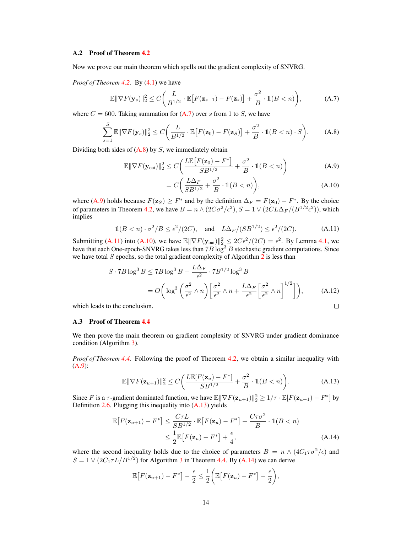#### A.2 Proof of Theorem [4.2](#page-6-5)

Now we prove our main theorem which spells out the gradient complexity of SNVRG.

*Proof of Theorem [4.2.](#page-6-5)* By [\(4.1\)](#page-6-4) we have

$$
\mathbb{E} \|\nabla F(\mathbf{y}_s)\|_2^2 \le C \bigg(\frac{L}{B^{1/2}} \cdot \mathbb{E}\big[F(\mathbf{z}_{s-1}) - F(\mathbf{z}_s)\big] + \frac{\sigma^2}{B} \cdot \mathbb{1}(B < n)\bigg),\tag{A.7}
$$

where  $C = 600$ . Taking summation for  $(A.7)$  over s from 1 to S, we have

$$
\sum_{s=1}^{S} \mathbb{E} \|\nabla F(\mathbf{y}_s)\|_2^2 \le C \bigg(\frac{L}{B^{1/2}} \cdot \mathbb{E}\big[F(\mathbf{z}_0) - F(\mathbf{z}_S)\big] + \frac{\sigma^2}{B} \cdot \mathbb{1}(B < n) \cdot S\bigg). \tag{A.8}
$$

Dividing both sides of  $(A.8)$  by  $S$ , we immediately obtain

$$
\mathbb{E}\|\nabla F(\mathbf{y}_{\text{out}})\|_{2}^{2} \le C\bigg(\frac{L\mathbb{E}\big[F(\mathbf{z}_{0}) - F^{*}\big]}{SB^{1/2}} + \frac{\sigma^{2}}{B} \cdot \mathbb{1}(B < n)\bigg) \tag{A.9}
$$

<span id="page-13-4"></span><span id="page-13-3"></span><span id="page-13-2"></span><span id="page-13-1"></span><span id="page-13-0"></span>
$$
= C\bigg(\frac{L\Delta_F}{SB^{1/2}} + \frac{\sigma^2}{B} \cdot \mathbb{1}(B < n)\bigg),\tag{A.10}
$$

where [\(A.9\)](#page-13-2) holds because  $F(z_S) \geq F^*$  and by the definition  $\Delta_F = F(z_0) - F^*$ . By the choice of parameters in Theorem [4.2,](#page-6-5) we have  $B = n \wedge (2C\sigma^2/\epsilon^2)$ ,  $S = 1 \vee (2CL\Delta_F/(B^{1/2}\epsilon^2))$ , which implies

$$
\mathbb{1}(B < n) \cdot \sigma^2 / B \le \epsilon^2 / (2C), \quad \text{and} \quad L\Delta_F / (SB^{1/2}) \le \epsilon^2 / (2C). \tag{A.11}
$$

Submitting [\(A.11\)](#page-13-3) into [\(A.10\)](#page-13-4), we have  $\mathbb{E} \|\nabla F(\mathbf{y}_{out})\|_{2,\leq}^2 \leq 2C\epsilon^2/(2C) = \epsilon^2$ . By Lemma [4.1,](#page-6-4) we have that each One-epoch-SNVRG takes less than  $7B\log^3 B$  stochastic gradient computations. Since we have total  $S$  epochs, so the total gradient complexity of Algorithm  $\overline{2}$  $\overline{2}$  $\overline{2}$  is less than

$$
S \cdot 7B \log^3 B \le 7B \log^3 B + \frac{L\Delta_F}{\epsilon^2} \cdot 7B^{1/2} \log^3 B
$$
  
=  $O\left(\log^3\left(\frac{\sigma^2}{\epsilon^2} \wedge n\right) \left[\frac{\sigma^2}{\epsilon^2} \wedge n + \frac{L\Delta_F}{\epsilon^2} \left[\frac{\sigma^2}{\epsilon^2} \wedge n\right]^{1/2}\right]\right)$ , (A.12)  
to the conclusion.

which leads to the conclusion.

## A.3 Proof of Theorem [4.4](#page-6-3)

We then prove the main theorem on gradient complexity of SNVRG under gradient dominance condition (Algorithm [3\)](#page-5-2).

*Proof of Theorem [4.4.](#page-6-3)* Following the proof of Theorem [4.2,](#page-6-5) we obtain a similar inequality with [\(A.9\)](#page-13-2):

<span id="page-13-5"></span>
$$
\mathbb{E}\|\nabla F(\mathbf{z}_{u+1})\|_2^2 \le C\bigg(\frac{L\mathbb{E}[F(\mathbf{z}_u) - F^*]}{SB^{1/2}} + \frac{\sigma^2}{B} \cdot \mathbb{1}(B < n)\bigg). \tag{A.13}
$$

Since F is a  $\tau$ -gradient dominated function, we have  $\mathbb{E} \|\nabla F(\mathbf{z}_{u+1})\|_2^2 \geq 1/\tau \cdot \mathbb{E}[F(\mathbf{z}_{u+1}) - F^*]$  by Definition  $2.6$ . Plugging this inequality into  $(A.13)$  yields

$$
\mathbb{E}\big[F(\mathbf{z}_{u+1}) - F^*\big] \le \frac{C\tau L}{SB^{1/2}} \cdot \mathbb{E}\big[F(\mathbf{z}_u) - F^*\big] + \frac{C\tau\sigma^2}{B} \cdot \mathbb{1}(B < n) \\
\le \frac{1}{2} \mathbb{E}\big[F(\mathbf{z}_u) - F^*\big] + \frac{\epsilon}{4},\n\tag{A.14}
$$

where the second inequality holds due to the choice of parameters  $B = n \wedge (4C_1 \tau \sigma^2/\epsilon)$  and  $S = 1 \vee (2C_1 \tau L/B^{1/2})$  for Algorithm [3](#page-5-2) in Theorem [4.4.](#page-6-3) By [\(A.14\)](#page-13-6) we can derive

<span id="page-13-6"></span>
$$
\mathbb{E}\big[F(\mathbf{z}_{u+1}) - F^*\big] - \frac{\epsilon}{2} \le \frac{1}{2}\bigg(\mathbb{E}\big[F(\mathbf{z}_u) - F^*\big] - \frac{\epsilon}{2}\bigg),
$$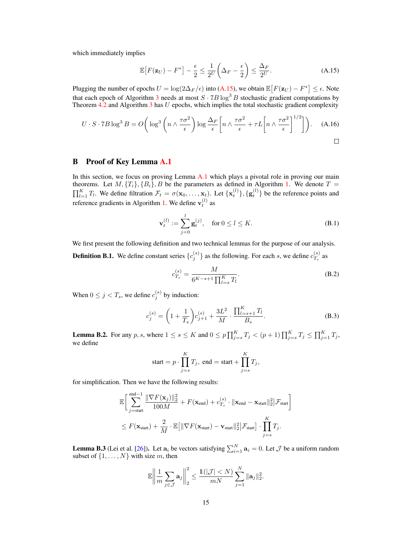which immediately implies

<span id="page-14-0"></span>
$$
\mathbb{E}\left[F(\mathbf{z}_U) - F^*\right] - \frac{\epsilon}{2} \le \frac{1}{2^U} \left(\Delta_F - \frac{\epsilon}{2}\right) \le \frac{\Delta_F}{2^U}.\tag{A.15}
$$

Plugging the number of epochs  $U = \log(2\Delta_F/\epsilon)$  into [\(A.15\)](#page-14-0), we obtain  $\mathbb{E}\big[F(\mathbf{z}_U) - F^*\big] \leq \epsilon$ . Note that each epoch of Algorithm [3](#page-5-2) needs at most  $S \cdot 7B \log^3 B$  stochastic gradient computations by Theorem  $4.2$  and Algorithm  $3$  has  $U$  epochs, which implies the total stochastic gradient complexity

$$
U \cdot S \cdot 7B \log^3 B = O\left(\log^3\left(n \wedge \frac{\tau \sigma^2}{\epsilon}\right) \log \frac{\Delta_F}{\epsilon} \left[n \wedge \frac{\tau \sigma^2}{\epsilon} + \tau L \left[n \wedge \frac{\tau \sigma^2}{\epsilon}\right]^{1/2}\right]\right).
$$
 (A.16)

# <span id="page-14-3"></span>B Proof of Key Lemma [A.1](#page-12-0)

In this section, we focus on proving Lemma [A.1](#page-12-0) which plays a pivotal role in proving our main theorems. Let  $M, \{T_i\}, \{B_i\}, B$  be the parameters as defined in Algorithm [1.](#page-4-0) We denote  $T = \prod_{l=1}^{K} T_l$ . We define filtration  $\mathcal{F}_t = \sigma(\mathbf{x}_0, \dots, \mathbf{x}_t)$ . Let  $\{\mathbf{x}_t^{(l)}\}, \{\mathbf{g}_t^{(l)}\}$  be the reference points and reference gradients in Algorithm [1.](#page-4-0) We define  $\mathbf{v}_t^{(l)}$  as

$$
\mathbf{v}_t^{(l)} := \sum_{j=0}^l \mathbf{g}_t^{(j)}, \quad \text{for } 0 \le l \le K. \tag{B.1}
$$

<span id="page-14-4"></span>We first present the following definition and two technical lemmas for the purpose of our analysis. **Definition B.1.** We define constant series  ${c_j^{(s)}}$  as the following. For each s, we define  $c_{T_s}^{(s)}$  $T_s^{(s)}$  as

<span id="page-14-7"></span><span id="page-14-6"></span><span id="page-14-5"></span>
$$
c_{T_s}^{(s)} = \frac{M}{6^{K-s+1} \prod_{l=s}^{K} T_l}.
$$
 (B.2)

When  $0 \le j < T_s$ , we define  $c_j^{(s)}$  by induction:

$$
c_j^{(s)} = \left(1 + \frac{1}{T_s}\right)c_{j+1}^{(s)} + \frac{3L^2}{M} \cdot \frac{\prod_{l=s+1}^K T_l}{B_s}.
$$
 (B.3)

<span id="page-14-1"></span>**Lemma B.2.** For any p, s, where  $1 \le s \le K$  and  $0 \le p \prod_{j=s}^K T_j < (p+1) \prod_{j=s}^K T_j \le \prod_{j=1}^K T_j$ , we define

start = 
$$
p \cdot \prod_{j=s}^{K} T_j
$$
, end = start +  $\prod_{j=s}^{K} T_j$ ,

for simplification. Then we have the following results:

$$
\mathbb{E}\bigg[\sum_{j=\text{start}}^{\text{end}-1} \frac{\|\nabla F(\mathbf{x}_j)\|_2^2}{100M} + F(\mathbf{x}_{\text{end}}) + c_{T_s}^{(s)} \cdot \|\mathbf{x}_{\text{end}} - \mathbf{x}_{\text{start}}\|_2^2 |\mathcal{F}_{\text{start}}\bigg]
$$
  

$$
\leq F(\mathbf{x}_{\text{start}}) + \frac{2}{M} \cdot \mathbb{E}\big[\|\nabla F(\mathbf{x}_{\text{start}}) - \mathbf{v}_{\text{start}}\|_2^2 |\mathcal{F}_{\text{start}}\big] \cdot \prod_{j=s}^{K} T_j.
$$

<span id="page-14-2"></span>**Lemma B.3** (Lei et al. [\[26\]](#page-10-5)). Let  $a_i$  be vectors satisfying  $\sum_{i=1}^{N} a_i = 0$ . Let  $\mathcal{J}$  be a uniform random subset of  $\{1, \ldots, N\}$  with size m, then

$$
\mathbb{E}\left\|\frac{1}{m}\sum_{j\in\mathcal{J}}\mathbf{a}_j\right\|_2^2 \le \frac{\mathbb{1}(|\mathcal{J}| < N)}{mN}\sum_{j=1}^N \|\mathbf{a}_j\|_2^2.
$$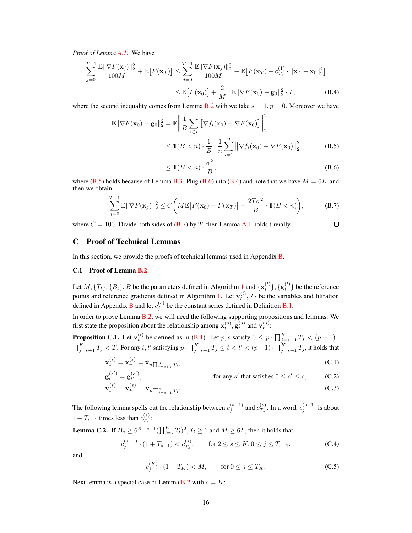*Proof of Lemma [A.1.](#page-12-0)* We have

$$
\sum_{j=0}^{T-1} \frac{\mathbb{E}||\nabla F(\mathbf{x}_j)||_2^2}{100M} + \mathbb{E}\big[F(\mathbf{x}_T)\big] \le \sum_{j=0}^{T-1} \frac{\mathbb{E}||\nabla F(\mathbf{x}_j)||_2^2}{100M} + \mathbb{E}\big[F(\mathbf{x}_T) + c_{T_1}^{(1)} \cdot ||\mathbf{x}_T - \mathbf{x}_0||_2^2\big] \le \mathbb{E}\big[F(\mathbf{x}_0)\big] + \frac{2}{M} \cdot \mathbb{E}||\nabla F(\mathbf{x}_0) - \mathbf{g}_0||_2^2 \cdot T,
$$
\n(B.4)

where the second inequality comes from Lemma [B.2](#page-14-1) with we take  $s = 1, p = 0$ . Moreover we have

$$
\mathbb{E} \|\nabla F(\mathbf{x}_0) - \mathbf{g}_0\|_2^2 = \mathbb{E} \left\| \frac{1}{B} \sum_{i \in I} \left[ \nabla f_i(\mathbf{x}_0) - \nabla F(\mathbf{x}_0) \right] \right\|_2^2
$$
  
\n
$$
\leq \mathbb{1}(B < n) \cdot \frac{1}{B} \cdot \frac{1}{n} \sum_{i=1}^n \left\| \nabla f_i(\mathbf{x}_0) - \nabla F(\mathbf{x}_0) \right\|_2^2 \tag{B.5}
$$

<span id="page-15-3"></span><span id="page-15-2"></span><span id="page-15-1"></span><span id="page-15-0"></span>
$$
\leq \mathbb{1}(B < n) \cdot \frac{\sigma^2}{B},\tag{B.6}
$$

where  $(B.5)$  holds because of Lemma [B.3.](#page-14-2) Plug  $(B.6)$  into  $(B.4)$  and note that we have  $M = 6L$ , and then we obtain

$$
\sum_{j=0}^{T-1} \mathbb{E} \|\nabla F(\mathbf{x}_j)\|_2^2 \le C \bigg(M \mathbb{E}\big[F(\mathbf{x}_0) - F(\mathbf{x}_T)\big] + \frac{2T\sigma^2}{B} \cdot \mathbb{1}(B < n)\bigg),\tag{B.7}
$$

where  $C = 100$ . Divide both sides of [\(B.7\)](#page-15-3) by T, then Lemma [A.1](#page-12-0) holds trivially.  $\Box$ 

### <span id="page-15-6"></span>C Proof of Technical Lemmas

In this section, we provide the proofs of technical lemmas used in Appendix [B.](#page-14-3)

## C.1 Proof of Lemma [B.2](#page-14-1)

Let  $M, \{T_l\}, \{B_l\}, B$  be the parameters defined in Algorithm [1](#page-4-0) and  $\{\mathbf{x}_t^{(l)}\}, \{\mathbf{g}_t^{(l)}\}$  be the reference points and reference gradients defined in Algorithm [1.](#page-4-0) Let  $\mathbf{v}_t^{(l)}$ ,  $\mathcal{F}_t$  be the variables and filtration defined in Appendix [B](#page-14-3) and let  $c_j^{(s)}$  be the constant series defined in Definition [B.1.](#page-14-4)

In order to prove Lemma [B.2,](#page-14-1) we will need the following supporting propositions and lemmas. We first state the proposition about the relationship among  $\mathbf{x}_t^{(s)}$ ,  $\mathbf{g}_t^{(s)}$  and  $\mathbf{v}_t^{(s)}$ :

<span id="page-15-4"></span>**Proposition C.1.** Let  $\mathbf{v}_t^{(l)}$  be defined as in [\(B.1\)](#page-14-5). Let p, s satisfy  $0 \le p \cdot \prod_{j=s+1}^K T_j < (p+1) \cdot$  $\prod_{j=s+1}^KT_j < T.$  For any  $t,t'$  satisfying  $p\cdot\prod_{j=s+1}^KT_j \leq t < t' < (p+1)\cdot\prod_{j=s+1}^KT_j,$  it holds that

$$
\mathbf{x}_{t}^{(s)} = \mathbf{x}_{t'}^{(s)} = \mathbf{x}_{p \prod_{j=s+1}^{K} T_{j}},
$$
\n(C.1)

$$
\mathbf{g}_{t}^{(s')} = \mathbf{g}_{t'}^{(s')}, \qquad \text{for any } s' \text{ that satisfies } 0 \le s' \le s, \qquad \text{(C.2)}
$$
\n
$$
\mathbf{v}_{t}^{(s)} = \mathbf{v}_{t'}^{(s)} = \mathbf{v}_{p \prod_{j=s+1}^{K} T_{j}}.
$$
\n(C.3)

The following lemma spells out the relationship between  $c_j^{(s-1)}$  and  $c_{T_s}^{(s)}$  $\binom{s}{T_s}$ . In a word,  $c_j^{(s-1)}$  is about  $1 + T_{s-1}$  times less than  $c_{T_s}^{(s)}$  $T_s$ :

<span id="page-15-5"></span>**Lemma C.2.** If  $B_s \ge 6^{K-s+1} (\prod_{l=s}^K T_l)^2, T_l \ge 1$  and  $M \ge 6L$ , then it holds that

$$
c_j^{(s-1)} \cdot (1 + T_{s-1}) < c_{T_s}^{(s)}, \qquad \text{for } 2 \le s \le K, 0 \le j \le T_{s-1}, \tag{C.4}
$$

and

<span id="page-15-11"></span><span id="page-15-10"></span><span id="page-15-9"></span><span id="page-15-8"></span><span id="page-15-7"></span>
$$
c_j^{(K)} \cdot (1 + T_K) < M,
$$
 for  $0 \le j \le T_K.$  (C.5)

Next lemma is a special case of Lemma [B.2](#page-14-1) with  $s = K$ :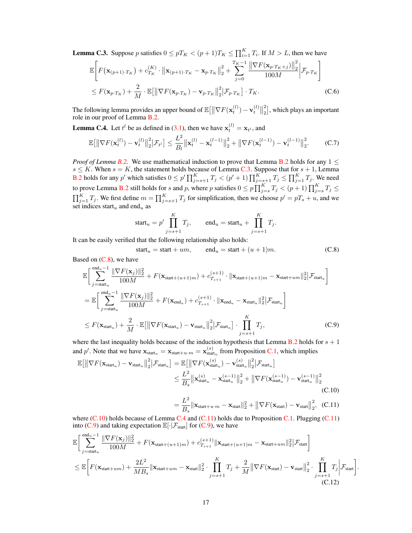<span id="page-16-0"></span>**Lemma C.3.** Suppose p satisfies  $0 \leq pT_K < (p+1)T_K \leq \prod_{i=1}^K T_i$ . If  $M > L$ , then we have

$$
\mathbb{E}\Bigg[F\big(\mathbf{x}_{(p+1)\cdot T_K}\big) + c_{T_K}^{(K)} \cdot \big\|\mathbf{x}_{(p+1)\cdot T_K} - \mathbf{x}_{p\cdot T_K}\big\|_2^2 + \sum_{j=0}^{T_K - 1} \frac{\big\|\nabla F(\mathbf{x}_{p\cdot T_K + j})\big\|_2^2}{100M} \Big\|\mathcal{F}_{p\cdot T_K}\Bigg] \leq F(\mathbf{x}_{p\cdot T_K}) + \frac{2}{M} \cdot \mathbb{E}\big[\big\|\nabla F(\mathbf{x}_{p\cdot T_K}) - \mathbf{v}_{p\cdot T_K}\big\|_2^2 \big\|\mathcal{F}_{p\cdot T_K}\big\} \cdot T_K.
$$
\n(C.6)

The following lemma provides an upper bound of  $\mathbb{E}[\|\nabla F(\mathbf{x}_t^{(l)}) - \mathbf{v}_t^{(l)}\|_2^2]$  $\binom{2}{2}$ , which plays an important role in our proof of Lemma [B.2.](#page-14-1)

<span id="page-16-3"></span>**Lemma C.4.** Let  $t^l$  be as defined in [\(3.1\)](#page-5-4), then we have  $\mathbf{x}_t^{(l)} = \mathbf{x}_{t^l}$ , and

$$
\mathbb{E}\big[\big\|\nabla F(\mathbf{x}_t^{(l)}) - \mathbf{v}_t^{(l)}\big\|_2^2\big|\mathcal{F}_{t^l}\big] \le \frac{L^2}{B_l} \big\|\mathbf{x}_t^{(l)} - \mathbf{x}_t^{(l-1)}\big\|_2^2 + \big\|\nabla F(\mathbf{x}_t^{(l-1)}) - \mathbf{v}_t^{(l-1)}\big\|_2^2. \tag{C.7}
$$

*Proof of Lemma [B.2.](#page-14-1)* We use mathematical induction to prove that Lemma [B.2](#page-14-1) holds for any  $1 \leq$  $s \leq K$ . When  $s = K$ , the statement holds because of Lemma [C.3.](#page-16-0) Suppose that for  $s + 1$ , Lemma **[B.2](#page-14-1)** holds for any p' which satisfies  $0 \le p' \prod_{j=s+1}^K T_j < (p'+1) \prod_{j=s+1}^K T_j \le \prod_{j=1}^K T_j$ . We need to prove Lemma [B.2](#page-14-1) still holds for s and p, where p satisfies  $0 \le p \prod_{j=s}^K T_j < (p+1) \prod_{j=s}^K T_j \le$  $\prod_{j=1}^K T_j$ . We first define  $m = \prod_{j=s+1}^K T_j$  for simplification, then we choose  $p' = pT_s + u$ , and we set indices start<sub>u</sub> and end<sub>u</sub> as

$$
start_u = p' \prod_{j=s+1}^{K} T_j, \qquad end_u = start_u + \prod_{j=s+1}^{K} T_j.
$$

It can be easily verified that the following relationship also holds:

<span id="page-16-1"></span>
$$
start_u = start + um, \qquad end_u = start + (u + 1)m. \tag{C.8}
$$

Based on [\(C.8\)](#page-16-1), we have

$$
\mathbb{E}\Bigg[\sum_{j=\text{start}_{u}}^{\text{end}_{u}-1} \frac{\|\nabla F(\mathbf{x}_{j})\|_{2}^{2}}{100M} + F(\mathbf{x}_{\text{start}+(u+1)m}) + c_{T_{s+1}}^{(s+1)} \cdot \|\mathbf{x}_{\text{start}+(u+1)m} - \mathbf{x}_{\text{start}+um}\|_{2}^{2}|\mathcal{F}_{\text{start}_{u}}\Bigg]
$$
\n
$$
= \mathbb{E}\Bigg[\sum_{j=\text{start}_{u}}^{\text{end}_{u}-1} \frac{\|\nabla F(\mathbf{x}_{j})\|_{2}^{2}}{100M} + F(\mathbf{x}_{\text{end}_{u}}) + c_{T_{s+1}}^{(s+1)} \cdot \|\mathbf{x}_{\text{end}_{u}} - \mathbf{x}_{\text{start}_{u}}\|_{2}^{2}|\mathcal{F}_{\text{start}_{u}}\Bigg]
$$
\n
$$
\leq F(\mathbf{x}_{\text{start}_{u}}) + \frac{2}{M} \cdot \mathbb{E}\big[\|\nabla F(\mathbf{x}_{\text{start}_{u}}) - \mathbf{v}_{\text{start}_{u}}\|_{2}^{2}|\mathcal{F}_{\text{start}_{u}}\big] \cdot \prod_{j=s+1}^{K} T_{j},\tag{C.9}
$$

where the last inequality holds because of the induction hypothesis that Lemma [B.2](#page-14-1) holds for  $s + 1$ and p'. Note that we have  $\mathbf{x}_{start_u} = \mathbf{x}_{start+u \cdot m} = \mathbf{x}_{start_u}^{(s)}$  from Proposition [C.1,](#page-15-4) which implies

$$
\mathbb{E}\left[\left\|\nabla F(\mathbf{x}_{\text{start}_u}) - \mathbf{v}_{\text{start}_u}\right\|_2^2 \middle| \mathcal{F}_{\text{start}_u}\right] = \mathbb{E}\left[\left\|\nabla F(\mathbf{x}_{\text{start}_u}^{(s)}) - \mathbf{v}_{\text{start}_u}^{(s)}\right\|_2^2 \middle| \mathcal{F}_{\text{start}_u}\right]
$$
\n
$$
\leq \frac{L^2}{B_s} \left\|\mathbf{x}_{\text{start}_u}^{(s)} - \mathbf{x}_{\text{start}_u}^{(s-1)}\right\|_2^2 + \left\|\nabla F(\mathbf{x}_{\text{start}_u}^{(s-1)}) - \mathbf{v}_{\text{start}_u}^{(s-1)}\right\|_2^2
$$
\n(C.10)\n
$$
= \frac{L^2}{B_s} \|\mathbf{x}_{\text{start}_u} - \mathbf{x}_{\text{start}_u}\|_2^2 + \|\nabla F(\mathbf{x}_{\text{start}_u}) - \mathbf{v}_{\text{start}_u}\|_2^2.
$$

$$
= \frac{L^2}{B_s} \|\mathbf{x}_{\text{start}+u \cdot m} - \mathbf{x}_{\text{start}}\|_2^2 + \left\|\nabla F(\mathbf{x}_{\text{start}}) - \mathbf{v}_{\text{start}}\right\|_2^2, (C.11)
$$

<span id="page-16-6"></span><span id="page-16-5"></span><span id="page-16-4"></span><span id="page-16-2"></span>.

where [\(C.10\)](#page-16-2) holds because of Lemma [C.4](#page-16-3) and [\(C.11\)](#page-16-4) holds due to Proposition [C.1.](#page-15-4) Plugging (C.11) into [\(C.9\)](#page-16-5) and taking expectation  $\mathbb{E}[\cdot|\mathcal{F}_{start}]$  for (C.9), we have

$$
\mathbb{E}\Bigg[\sum_{j=\text{start}_{u}}^{\text{end}_{u}-1} \frac{\|\nabla F(\mathbf{x}_{j})\|_{2}^{2}}{100M} + F(\mathbf{x}_{\text{start}+(u+1)m}) + c_{T_{s+1}}^{(s+1)} \|\mathbf{x}_{\text{start}+(u+1)m} - \mathbf{x}_{\text{start}+um}\|_{2}^{2} | \mathcal{F}_{\text{start}}\Bigg]
$$
  

$$
\leq \mathbb{E}\Bigg[F(\mathbf{x}_{\text{start}+um}) + \frac{2L^{2}}{MB_{s}} \|\mathbf{x}_{\text{start}+um} - \mathbf{x}_{\text{start}}\|_{2}^{2} \cdot \prod_{j=s+1}^{K} T_{j} + \frac{2}{M} \|\nabla F(\mathbf{x}_{\text{start}}) - \mathbf{v}_{\text{start}}\|_{2}^{2} \cdot \prod_{j=s+1}^{K} T_{j} \Big| \mathcal{F}_{\text{start}}\Bigg]
$$
  
(C.12)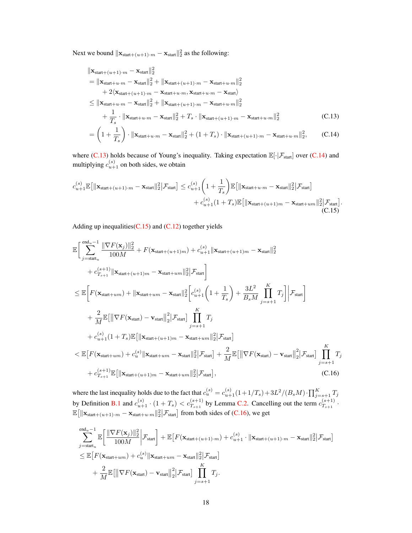Next we bound  $||\mathbf{x}_{start+(u+1)\cdot m} - \mathbf{x}_{start}||_2^2$  as the following:

<span id="page-17-1"></span><span id="page-17-0"></span>
$$
\|\mathbf{x}_{start+(u+1)\cdot m} - \mathbf{x}_{start}\|_{2}^{2}
$$
\n
$$
= \|\mathbf{x}_{start+u\cdot m} - \mathbf{x}_{start}\|_{2}^{2} + \|\mathbf{x}_{start+(u+1)\cdot m} - \mathbf{x}_{start+u\cdot m}\|_{2}^{2}
$$
\n
$$
+ 2\langle \mathbf{x}_{start+(u+1)\cdot m} - \mathbf{x}_{start+u\cdot m}, \mathbf{x}_{start+u\cdot m} - \mathbf{x}_{start}\rangle
$$
\n
$$
\leq \|\mathbf{x}_{start+u\cdot m} - \mathbf{x}_{start}\|_{2}^{2} + \|\mathbf{x}_{start+(u+1)\cdot m} - \mathbf{x}_{start+u\cdot m}\|_{2}^{2}
$$
\n
$$
+ \frac{1}{T_{s}} \cdot \|\mathbf{x}_{start+u\cdot m} - \mathbf{x}_{start}\|_{2}^{2} + T_{s} \cdot \|\mathbf{x}_{start+(u+1)\cdot m} - \mathbf{x}_{start+u\cdot m}\|_{2}^{2}
$$
\n(C.13)\n
$$
= \left(1 + \frac{1}{T_{s}}\right) \cdot \|\mathbf{x}_{start+u\cdot m} - \mathbf{x}_{start}\|_{2}^{2} + \left(1 + T_{s}\right) \cdot \|\mathbf{x}_{start+(u+1)\cdot m} - \mathbf{x}_{start+u\cdot m}\|_{2}^{2}, \qquad (C.14)
$$

where  $(C.13)$  holds because of Young's inequality. Taking expectation  $\mathbb{E}[\cdot|\mathcal{F}_{start}]$  over  $(C.14)$  and multiplying  $c_{u+1}^{(s)}$  on both sides, we obtain

$$
c_{u+1}^{(s)}\mathbb{E}\big[\|\mathbf{x}_{\text{start}+(u+1)\cdot m} - \mathbf{x}_{\text{start}}\|_{2}^{2}\big|\mathcal{F}_{\text{start}}\big] \leq c_{u+1}^{(s)}\bigg(1 + \frac{1}{T_{s}}\bigg)\mathbb{E}\big[\|\mathbf{x}_{\text{start}+u\cdot m} - \mathbf{x}_{\text{start}}\|_{2}^{2}\big|\mathcal{F}_{\text{start}}\big] + c_{u+1}^{(s)}(1 + T_{s})\mathbb{E}\big[\|\mathbf{x}_{\text{start}+(u+1)m} - \mathbf{x}_{\text{start}+um}\|_{2}^{2}\big|\mathcal{F}_{\text{start}}\big].
$$
\n(C.15)

<span id="page-17-2"></span>Adding up inequalities  $(C.15)$  and  $(C.12)$  together yields

$$
\mathbb{E}\Big[\sum_{j=\text{start}_{u}}^{\text{end}_{u}-1} \frac{\|\nabla F(\mathbf{x}_{j})\|_{2}^{2}}{100M} + F(\mathbf{x}_{\text{start}+(u+1)m}) + c_{u+1}^{(s)}\|\mathbf{x}_{\text{start}+(u+1)m} - \mathbf{x}_{\text{start}}\|_{2}^{2}} + c_{T_{s+1}}^{(s+1)}\|\mathbf{x}_{\text{start}+(u+1)m} - \mathbf{x}_{\text{start}+um}\|_{2}^{2}\Big[\mathcal{F}_{\text{start}}\Big]\Big]
$$
\n
$$
\leq \mathbb{E}\Big[F(\mathbf{x}_{\text{start}+um}) + \|\mathbf{x}_{\text{start}+um} - \mathbf{x}_{\text{start}}\|_{2}^{2}\Big[c_{u+1}^{(s)}\Big(1 + \frac{1}{T_{s}}\Big) + \frac{3L^{2}}{B_{s}M} \prod_{j=s+1}^{K} T_{j}\Big|\Big|\mathcal{F}_{\text{start}}\Big]
$$
\n
$$
+ \frac{2}{M}\mathbb{E}\big[\|\nabla F(\mathbf{x}_{\text{start}}) - \mathbf{v}_{\text{start}}\|_{2}^{2}\Big|\mathcal{F}_{\text{start}}\big] \prod_{j=s+1}^{K} T_{j}
$$
\n
$$
+ c_{u+1}^{(s)}(1 + T_{s})\mathbb{E}\big[\|\mathbf{x}_{\text{start}+(u+1)m} - \mathbf{x}_{\text{start}+um}\|_{2}^{2}\Big|\mathcal{F}_{\text{start}}\big]
$$
\n
$$
< \mathbb{E}\big[F(\mathbf{x}_{\text{start}+um}) + c_{u}^{(s)}\|\mathbf{x}_{\text{start}+um} - \mathbf{x}_{\text{start}}\|_{2}^{2}\Big|\mathcal{F}_{\text{start}}\big] + \frac{2}{M}\mathbb{E}\big[\|\nabla F(\mathbf{x}_{\text{start}}) - \mathbf{v}_{\text{start}}\|_{2}^{2}\Big|\mathcal{F}_{\text{start}}\big]
$$
\n
$$
+ c_{T_{s+1}}^{(s+1)}\mathbb{E}\big[\|\mathbf{x}_{\text{start}+(u+1)m} - \mathbf{x}_{\text{start}+um}\|_{2}^{2}\Big|\mathcal{F}_{\text{start}}\big], \tag{C.16}
$$

<span id="page-17-3"></span>where the last inequality holds due to the fact that  $c_u^{(s)} = c_{u+1}^{(s)}(1+1/T_s) + 3L^2/(B_sM) \cdot \prod_{j=s+1}^K T_j$ by Definition [B.1](#page-14-4) and  $c_{u+1}^{(s)} \cdot (1+T_s) < c_{T_{s+1}}^{(s+1)}$  by Lemma [C.2.](#page-15-5) Cancelling out the term  $c_{T_{s+1}}^{(s+1)}$  $\stackrel{\cdot }{T}_{s+1}$  .  $\mathbb{E} \big[ \|\mathbf{x}_{start+(u+1)\cdot m} - \mathbf{x}_{start+u\cdot m}\|_2^2 \big| \mathcal{F}_{start} \big]$  from both sides of [\(C.16\)](#page-17-3), we get

$$
\sum_{j=\text{start}_{u}}^{\text{end}_{u}-1} \mathbb{E}\Big[\frac{\|\nabla F(\mathbf{x}_{j})\|_{2}^{2}}{100M}\Big|\mathcal{F}_{\text{start}}\Big] + \mathbb{E}\big[F(\mathbf{x}_{\text{start}+(u+1)\cdot m}) + c_{u+1}^{(s)} \cdot \|\mathbf{x}_{\text{start}+(u+1)\cdot m} - \mathbf{x}_{\text{start}}\|_{2}^{2}\Big|\mathcal{F}_{\text{start}}\big] \n\leq \mathbb{E}\big[F(\mathbf{x}_{\text{start}+um}) + c_{u}^{(s)}\|\mathbf{x}_{\text{start}+um} - \mathbf{x}_{\text{start}}\|_{2}^{2}\Big|\mathcal{F}_{\text{start}}\big] \n+ \frac{2}{M}\mathbb{E}\big[\|\nabla F(\mathbf{x}_{\text{start}}) - \mathbf{v}_{\text{start}}\|_{2}^{2}\Big|\mathcal{F}_{\text{start}}\big]\prod_{j=s+1}^{K}T_{j}.
$$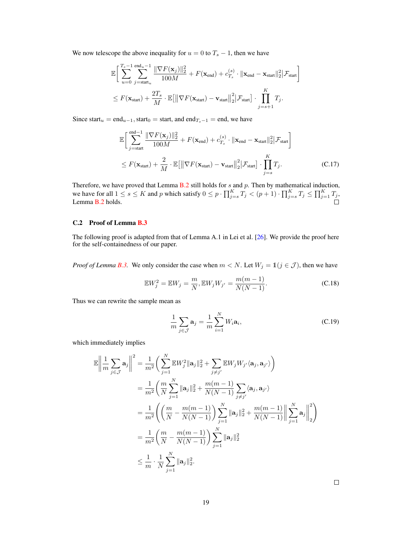We now telescope the above inequality for  $u = 0$  to  $T_s - 1$ , then we have

$$
\mathbb{E}\bigg[\sum_{u=0}^{T_s-1} \sum_{j=\text{start}_u}^{\text{end}_u-1} \frac{\|\nabla F(\mathbf{x}_j)\|_2^2}{100M} + F(\mathbf{x}_{\text{end}}) + c_{T_s}^{(s)} \cdot \|\mathbf{x}_{\text{end}} - \mathbf{x}_{\text{start}}\|_2^2 |\mathcal{F}_{\text{start}}\bigg]
$$
  

$$
\leq F(\mathbf{x}_{\text{start}}) + \frac{2T_s}{M} \cdot \mathbb{E}\big[\big\|\nabla F(\mathbf{x}_{\text{start}}) - \mathbf{v}_{\text{start}}\big\|_2^2 \big|\mathcal{F}_{\text{start}}\big] \cdot \prod_{j=s+1}^K T_j.
$$

Since start<sub>u</sub> = end<sub>u-1</sub>, start<sub>0</sub> = start, and end<sub>T<sub>s</sub>-1</sub> = end, we have

$$
\mathbb{E}\left[\sum_{j=\text{start}}^{\text{end}-1} \frac{\|\nabla F(\mathbf{x}_j)\|_2^2}{100M} + F(\mathbf{x}_{\text{end}}) + c_{T_s}^{(s)} \cdot \|\mathbf{x}_{\text{end}} - \mathbf{x}_{\text{start}}\|_2^2 |\mathcal{F}_{\text{start}}\right]
$$
  
\n
$$
\leq F(\mathbf{x}_{\text{start}}) + \frac{2}{M} \cdot \mathbb{E}\left[\|\nabla F(\mathbf{x}_{\text{start}}) - \mathbf{v}_{\text{start}}\|_2^2 |\mathcal{F}_{\text{start}}\right] \cdot \prod_{j=s}^{K} T_j.
$$
 (C.17)

Therefore, we have proved that Lemma  $B.2$  still holds for s and p. Then by mathematical induction, we have for all  $1 \le s \le K$  and p which satisfy  $0 \le p \cdot \prod_{j=s}^K T_j < (p+1) \cdot \prod_{j=s}^K T_j \le \prod_{j=1}^K T_j$ , Lemma [B.2](#page-14-1) holds.

## C.2 Proof of Lemma [B.3](#page-14-2)

The following proof is adapted from that of Lemma A.1 in Lei et al. [\[26\]](#page-10-5). We provide the proof here for the self-containedness of our paper.

*Proof of Lemma [B.3.](#page-14-2)* We only consider the case when  $m < N$ . Let  $W_j = 1 (j \in \mathcal{J})$ , then we have

$$
\mathbb{E}W_j^2 = \mathbb{E}W_j = \frac{m}{N}, \mathbb{E}W_j W_{j'} = \frac{m(m-1)}{N(N-1)}.
$$
 (C.18)

Thus we can rewrite the sample mean as

$$
\frac{1}{m}\sum_{j\in\mathcal{J}}\mathbf{a}_j = \frac{1}{m}\sum_{i=1}^N W_i \mathbf{a}_i,
$$
\n(C.19)

which immediately implies

$$
\mathbb{E}\left\|\frac{1}{m}\sum_{j\in\mathcal{J}}\mathbf{a}_{j}\right\|^{2} = \frac{1}{m^{2}}\left(\sum_{j=1}^{N}\mathbb{E}W_{j}^{2}\|\mathbf{a}_{j}\|_{2}^{2} + \sum_{j\neq j'}\mathbb{E}W_{j}W_{j'}\langle\mathbf{a}_{j},\mathbf{a}_{j'}\rangle\right)
$$
\n
$$
= \frac{1}{m^{2}}\left(\frac{m}{N}\sum_{j=1}^{N}\|\mathbf{a}_{j}\|_{2}^{2} + \frac{m(m-1)}{N(N-1)}\sum_{j\neq j'}\langle\mathbf{a}_{j},\mathbf{a}_{j'}\rangle\right)
$$
\n
$$
= \frac{1}{m^{2}}\left(\left(\frac{m}{N} - \frac{m(m-1)}{N(N-1)}\right)\sum_{j=1}^{N}\|\mathbf{a}_{j}\|_{2}^{2} + \frac{m(m-1)}{N(N-1)}\left\|\sum_{j=1}^{N}\mathbf{a}_{j}\right\|_{2}^{2}\right)
$$
\n
$$
= \frac{1}{m^{2}}\left(\frac{m}{N} - \frac{m(m-1)}{N(N-1)}\right)\sum_{j=1}^{N}\|\mathbf{a}_{j}\|_{2}^{2}
$$
\n
$$
\leq \frac{1}{m} \cdot \frac{1}{N}\sum_{j=1}^{N}\|\mathbf{a}_{j}\|_{2}^{2}.
$$

 $\Box$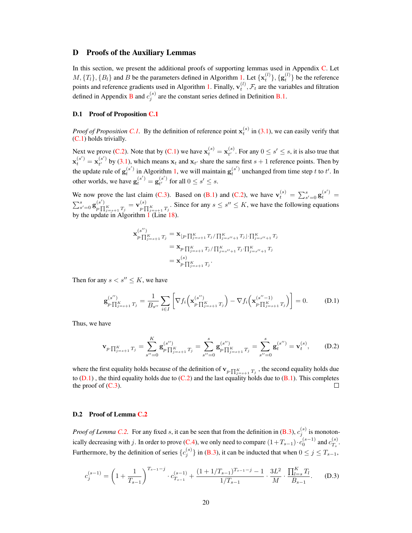# D Proofs of the Auxiliary Lemmas

In this section, we present the additional proofs of supporting lemmas used in Appendix [C.](#page-15-6) Let  $M, \{T_l\}, \{B_l\}$  and B be the parameters defined in Algorithm [1.](#page-4-0) Let  $\{\mathbf{x}_t^{(l)}\}, \{\mathbf{g}_t^{(l)}\}$  be the reference points and reference gradients used in Algorithm [1.](#page-4-0) Finally,  $\mathbf{v}_t^{(l)}$ ,  $\mathcal{F}_t$  are the variables and filtration defined in Appendix [B](#page-14-3) and  $c_j^{(s)}$  are the constant series defined in Definition [B.1.](#page-14-4)

#### D.1 Proof of Proposition [C.1](#page-15-4)

*Proof of Proposition [C.1.](#page-15-4)* By the definition of reference point  $\mathbf{x}_t^{(s)}$  in [\(3.1\)](#page-5-4), we can easily verify that [\(C.1\)](#page-15-7) holds trivially.

Next we prove [\(C.2\)](#page-15-8). Note that by [\(C.1\)](#page-15-7) we have  $\mathbf{x}_t^{(s)} = \mathbf{x}_{t'}^{(s)}$  $t^{(s)}$ . For any  $0 \leq s' \leq s$ , it is also true that  $\mathbf{x}_{t}^{(s')}=\mathbf{x}_{t'}^{(s')}$  $t^{(s)}$  by [\(3.1\)](#page-5-4), which means  $x_t$  and  $x_{t'}$  share the same first  $s + 1$  reference points. Then by the update rule of  $g_t^{(s')}$  in Algorithm [1,](#page-4-0) we will maintain  $g_t^{(s')}$  unchanged from time step t to t'. In other worlds, we have  $\mathbf{g}_t^{(s')} = \mathbf{g}_{t'}^{(s')}$  $t^{(s)}$  for all  $0 \leq s' \leq s$ .

We now prove the last claim [\(C.3\)](#page-15-9). Based on [\(B.1\)](#page-14-5) and [\(C.2\)](#page-15-8), we have  $\mathbf{v}_t^{(s)} = \sum_{s'=0}^{s} \mathbf{g}_t^{(s')}$  $\sum_{s^{\prime}=0}^{s}\mathbf{g}_{p\cdot}\stackrel{(s^{\prime})}{\prod}$  $\frac{\left(s'\right)}{p\cdot\prod_{j=s+1}^K T_j}=\mathbf{v}^{\left(s\right)}_{p\cdot\prod}$  $p \cdot \prod_{j=s+1}^{K} T_j$ . Since for any  $s \leq s'' \leq K$ , we have the following equations by the update in Algorithm [1](#page-4-0) (Line [18\)](#page-4-3).

<span id="page-19-0"></span>
$$
\mathbf{x}_{p \cdot \prod_{j=s+1}^{K} T_{j}}^{(s'')} = \mathbf{x}_{\lfloor p \cdot \prod_{j=s+1}^{K} T_{j} / \prod_{j=s''+1}^{K} T_{j} \rfloor \cdot \prod_{j=s''+1}^{K} T_{j}}
$$
\n
$$
= \mathbf{x}_{p \cdot \prod_{j=s+1}^{K} T_{j} / \prod_{j=s''+1}^{K} T_{j} \cdot \prod_{j=s''+1}^{K} T_{j}}
$$
\n
$$
= \mathbf{x}_{p \cdot \prod_{j=s+1}^{K} T_{j}}^{(s)}.
$$

Then for any  $s < s'' \leq K$ , we have

$$
\mathbf{g}_{p\cdot\prod_{j=s+1}^{K}T_{j}}^{(s'')} = \frac{1}{B_{s''}} \sum_{i \in I} \left[ \nabla f_{i} \left( \mathbf{x}_{p\cdot\prod_{j=s+1}^{K}T_{j}}^{(s'')} \right) - \nabla f_{i} \left( \mathbf{x}_{p\cdot\prod_{j=s+1}^{K}T_{j}}^{(s''-1)} \right) \right] = 0.
$$
 (D.1)

Thus, we have

$$
\mathbf{v}_{p \cdot \prod_{j=s+1}^{K} T_j} = \sum_{s'=0}^{K} \mathbf{g}_{p \cdot \prod_{j=s+1}^{K} T_j}^{(s'')} = \sum_{s'=0}^{s} \mathbf{g}_{p \cdot \prod_{j=s+1}^{K} T_j}^{(s'')} = \sum_{s'=0}^{s} \mathbf{g}_{t}^{(s'')} = \mathbf{v}_{t}^{(s)}, \quad (D.2)
$$

where the first equality holds because of the definition of  $\mathbf{v}_{p \cdot \prod_{j=s+1}^{K} T_j}$ , the second equality holds due to  $(D.1)$ , the third equality holds due to  $(C.2)$  and the last equality holds due to  $(B.1)$ . This completes the proof of  $(C.3)$ .

#### D.2 Proof of Lemma [C.2](#page-15-5)

*Proof of Lemma [C.2.](#page-15-5)* For any fixed s, it can be seen that from the definition in  $(B.3)$ ,  $c_j^{(s)}$  is monoton-ically decreasing with j. In order to prove [\(C.4\)](#page-15-10), we only need to compare  $(1+T_{s-1}) \cdot c_0^{(s-1)}$  and  $c_{T_s}^{(s)}$  $T_s$  . Furthermore, by the definition of series  ${c_j^{(s)}}$  in [\(B.3\)](#page-14-6), it can be inducted that when  $0 \le j \le T_{s-1}$ ,

<span id="page-19-1"></span>
$$
c_j^{(s-1)} = \left(1 + \frac{1}{T_{s-1}}\right)^{T_{s-1}-j} \cdot c_{T_{s-1}}^{(s-1)} + \frac{(1+1/T_{s-1})^{T_{s-1}-j} - 1}{1/T_{s-1}} \cdot \frac{3L^2}{M} \cdot \frac{\prod_{l=s}^K T_l}{B_{s-1}}.
$$
 (D.3)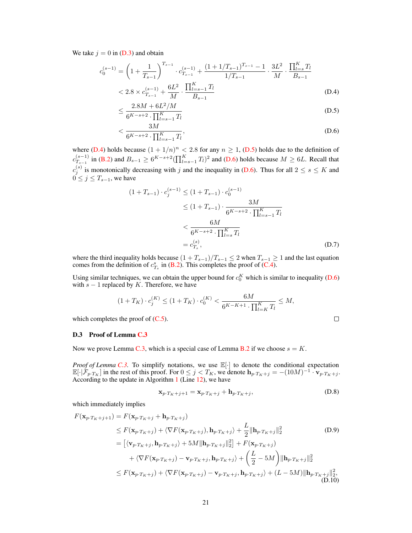We take  $i = 0$  in [\(D.3\)](#page-19-1) and obtain

$$
c_0^{(s-1)} = \left(1 + \frac{1}{T_{s-1}}\right)^{T_{s-1}} \cdot c_{T_{s-1}}^{(s-1)} + \frac{(1 + 1/T_{s-1})^{T_{s-1}} - 1}{1/T_{s-1}} \cdot \frac{3L^2}{M} \cdot \frac{\prod_{l=s}^K T_l}{B_{s-1}}
$$
  
< 2.8 × c<sub>T\_{s-1}</sub><sup>(s-1)</sup> +  $\frac{6L^2}{M} \cdot \frac{\prod_{l=s-1}^K T_l}{B_{s-1}}$  (D.4)

<span id="page-20-1"></span><span id="page-20-0"></span>
$$
\leq \frac{2.8M + 6L^2/M}{6^{K-s+2} \cdot \prod_{l=s-1}^K T_l} \tag{D.5}
$$

$$
\langle \frac{3M}{6^{K-s+2} \cdot \prod_{l=s-1}^{K} T_l}, \tag{D.6}
$$

where [\(D.4\)](#page-20-0) holds because  $(1 + 1/n)^n < 2.8$  for any  $n \ge 1$ , [\(D.5\)](#page-20-1) holds due to the definition of  $c_{T_{s-1}}^{(s-1)}$  in [\(B.2\)](#page-14-7) and  $B_{s-1} \ge 6^{K-s+2} (\prod_{l=s-1}^{K} T_l)^2$  and [\(D.6\)](#page-20-2) holds because  $M \ge 6L$ . Recall that  $c_j^{(s)}$  is monotonically decreasing with j and the inequality in [\(D.6\)](#page-20-2). Thus for all  $2 \le s \le K$  and  $0 \leq j \leq T_{s-1}$ , we have

<span id="page-20-2"></span>
$$
(1+T_{s-1}) \cdot c_j^{(s-1)} \le (1+T_{s-1}) \cdot c_0^{(s-1)}
$$
  
\n
$$
\le (1+T_{s-1}) \cdot \frac{3M}{6^{K-s+2} \cdot \prod_{l=s-1}^K T_l}
$$
  
\n
$$
< \frac{6M}{6^{K-s+2} \cdot \prod_{l=s}^K T_l}
$$
  
\n
$$
= c_{T_s}^{(s)}, \tag{D.7}
$$

where the third inequality holds because  $(1 + T_{s-1})/T_{s-1} \le 2$  when  $T_{s-1} \ge 1$  and the last equation comes from the definition of  $c_{T_s}^s$  in [\(B.2\)](#page-14-7). This completes the proof of [\(C.4\)](#page-15-10).

Using similar techniques, we can obtain the upper bound for  $c_0^K$  which is similar to inequality [\(D.6\)](#page-20-2) with  $s - 1$  replaced by K. Therefore, we have

$$
(1 + T_K) \cdot c_j^{(K)} \le (1 + T_K) \cdot c_0^{(K)} < \frac{6M}{6^{K - K + 1} \cdot \prod_{l = K}^K T_l} \le M,
$$
\nas the proof of (C.5).

\n\Box

which completes the proof of  $(C.5)$ .

#### D.3 Proof of Lemma [C.3](#page-16-0)

Now we prove Lemma [C.3,](#page-16-0) which is a special case of Lemma [B.2](#page-14-1) if we choose  $s = K$ .

*Proof of Lemma [C.3.](#page-16-0)* To simplify notations, we use  $\mathbb{E}[\cdot]$  to denote the conditional expectation  $\mathbb{E}[\cdot|\mathcal{F}_{p,T_K}]$  in the rest of this proof. For  $0 \leq j < T_K$ , we denote  $\mathbf{h}_{p,T_K+j} = -(10M)^{-1} \cdot \mathbf{v}_{p,T_K+j}$ . According to the update in Algorithm  $1$  (Line [12\)](#page-4-4), we have

<span id="page-20-5"></span><span id="page-20-4"></span><span id="page-20-3"></span>
$$
\mathbf{x}_{p \cdot T_K + j+1} = \mathbf{x}_{p \cdot T_K + j} + \mathbf{h}_{p \cdot T_K + j},\tag{D.8}
$$

which immediately implies

$$
F(\mathbf{x}_{p\cdot T_{K}+j+1}) = F(\mathbf{x}_{p\cdot T_{K}+j} + \mathbf{h}_{p\cdot T_{K}+j})
$$
  
\n
$$
\leq F(\mathbf{x}_{p\cdot T_{K}+j}) + \langle \nabla F(\mathbf{x}_{p\cdot T_{K}+j}), \mathbf{h}_{p\cdot T_{K}+j} \rangle + \frac{L}{2} \|\mathbf{h}_{p\cdot T_{K}+j}\|_{2}^{2}
$$
(D.9)  
\n
$$
= \left[ \langle \mathbf{v}_{p\cdot T_{K}+j}, \mathbf{h}_{p\cdot T_{K}+j} \rangle + 5M \|\mathbf{h}_{p\cdot T_{K}+j}\|_{2}^{2} \right] + F(\mathbf{x}_{p\cdot T_{K}+j})
$$
  
\n
$$
+ \langle \nabla F(\mathbf{x}_{p\cdot T_{K}+j}) - \mathbf{v}_{p\cdot T_{K}+j}, \mathbf{h}_{p\cdot T_{K}+j} \rangle + \left( \frac{L}{2} - 5M \right) \|\mathbf{h}_{p\cdot T_{K}+j}\|_{2}^{2}
$$
  
\n
$$
\leq F(\mathbf{x}_{p\cdot T_{K}+j}) + \langle \nabla F(\mathbf{x}_{p\cdot T_{K}+j}) - \mathbf{v}_{p\cdot T_{K}+j}, \mathbf{h}_{p\cdot T_{K}+j} \rangle + (L - 5M) \|\mathbf{h}_{p\cdot T_{K}+j}\|_{2}^{2},
$$
(D.10)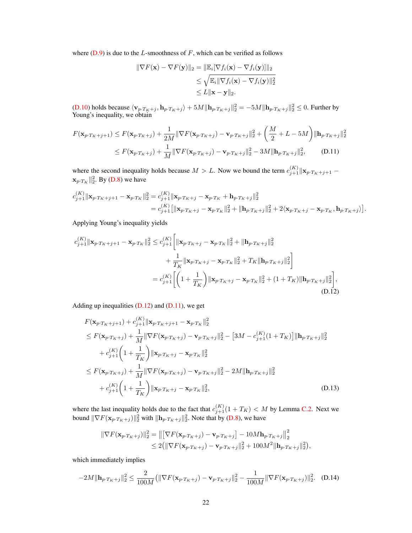where  $(D.9)$  is due to the L-smoothness of F, which can be verified as follows

<span id="page-21-1"></span>
$$
\|\nabla F(\mathbf{x}) - \nabla F(\mathbf{y})\|_2 = \|\mathbb{E}_i[\nabla f_i(\mathbf{x}) - \nabla f_i(\mathbf{y})]\|_2
$$
  
\n
$$
\leq \sqrt{\mathbb{E}_i \|\nabla f_i(\mathbf{x}) - \nabla f_i(\mathbf{y})\|_2^2}
$$
  
\n
$$
\leq L \|\mathbf{x} - \mathbf{y}\|_2.
$$

[\(D.10\)](#page-20-4) holds because  $\langle \mathbf{v}_{p\cdot T_K+j}, \mathbf{h}_{p\cdot T_K+j} \rangle + 5M \|\mathbf{h}_{p\cdot T_K+j}\|_2^2 = -5M \|\mathbf{h}_{p\cdot T_K+j}\|_2^2 \leq 0$ . Further by Young's inequality, we obtain

$$
F(\mathbf{x}_{p\cdot T_K+j+1}) \le F(\mathbf{x}_{p\cdot T_K+j}) + \frac{1}{2M} \|\nabla F(\mathbf{x}_{p\cdot T_K+j}) - \mathbf{v}_{p\cdot T_K+j}\|_2^2 + \left(\frac{M}{2} + L - 5M\right) \|\mathbf{h}_{p\cdot T_K+j}\|_2^2
$$
  

$$
\le F(\mathbf{x}_{p\cdot T_K+j}) + \frac{1}{M} \|\nabla F(\mathbf{x}_{p\cdot T_K+j}) - \mathbf{v}_{p\cdot T_K+j}\|_2^2 - 3M \|\mathbf{h}_{p\cdot T_K+j}\|_2^2,
$$
 (D.11)

where the second inequality holds because  $M > L$ . Now we bound the term  $c_{j+1}^{(K)} \|\mathbf{x}_{p \cdot T_K + j+1} \mathbf{x}_{p \cdot T_K} \|_2^2$ . By [\(D.8\)](#page-20-5) we have

$$
\begin{split} c_{j+1}^{(K)}\|{\mathbf{x}}_{p\cdot T_K+j+1} - {\mathbf{x}}_{p\cdot T_K}\|_2^2 &= c_{j+1}^{(K)}\|{\mathbf{x}}_{p\cdot T_K+j} - {\mathbf{x}}_{p\cdot T_K} + {\mathbf{h}}_{p\cdot T_K+j}\|_2^2\\ &= c_{j+1}^{(K)}\big[\|{\mathbf{x}}_{p\cdot T_K+j} - {\mathbf{x}}_{p\cdot T_K}\|_2^2 + \|{\mathbf{h}}_{p\cdot T_K+j}\|_2^2 + 2\langle{\mathbf{x}}_{p\cdot T_K+j} - {\mathbf{x}}_{p\cdot T_K}, {\mathbf{h}}_{p\cdot T_K+j}\rangle\big]. \end{split}
$$

Applying Young's inequality yields

$$
c_{j+1}^{(K)} \|\mathbf{x}_{p\cdot T_K+j+1} - \mathbf{x}_{p\cdot T_K}\|_2^2 \leq c_{j+1}^{(K)} \bigg[ \|\mathbf{x}_{p\cdot T_K+j} - \mathbf{x}_{p\cdot T_K}\|_2^2 + \|\mathbf{h}_{p\cdot T_K+j}\|_2^2 + \frac{1}{T_K} \|\mathbf{x}_{p\cdot T_K+j} - \mathbf{x}_{p\cdot T_K}\|_2^2 + T_K \|\mathbf{h}_{p\cdot T_K+j}\|_2^2 \bigg] = c_{j+1}^{(K)} \bigg[ \bigg(1 + \frac{1}{T_K}\bigg) \|\mathbf{x}_{p\cdot T_K+j} - \mathbf{x}_{p\cdot T_K}\|_2^2 + (1 + T_K) \|\mathbf{h}_{p\cdot T_K+j}\|_2^2 \bigg],
$$
(D.12)

Adding up inequalities  $(D.12)$  and  $(D.11)$ , we get

<span id="page-21-0"></span>
$$
F(\mathbf{x}_{p \cdot T_K + j+1}) + c_{j+1}^{(K)} ||\mathbf{x}_{p \cdot T_K + j+1} - \mathbf{x}_{p \cdot T_K}||_2^2
$$
  
\n
$$
\leq F(\mathbf{x}_{p \cdot T_K + j}) + \frac{1}{M} ||\nabla F(\mathbf{x}_{p \cdot T_K + j}) - \mathbf{v}_{p \cdot T_K + j}||_2^2 - [3M - c_{j+1}^{(K)}(1 + T_K)] ||\mathbf{h}_{p \cdot T_K + j}||_2^2
$$
  
\n
$$
+ c_{j+1}^{(K)} \left(1 + \frac{1}{T_K}\right) ||\mathbf{x}_{p \cdot T_K + j} - \mathbf{x}_{p \cdot T_K}||_2^2
$$
  
\n
$$
\leq F(\mathbf{x}_{p \cdot T_K + j}) + \frac{1}{M} ||\nabla F(\mathbf{x}_{p \cdot T_K + j}) - \mathbf{v}_{p \cdot T_K + j}||_2^2 - 2M ||\mathbf{h}_{p \cdot T_K + j}||_2^2
$$
  
\n
$$
+ c_{j+1}^{(K)} \left(1 + \frac{1}{T_K}\right) ||\mathbf{x}_{p \cdot T_K + j} - \mathbf{x}_{p \cdot T_K}||_2^2,
$$
 (D.13)

where the last inequality holds due to the fact that  $c_{j+1}^{(K)}(1 + T_K) < M$  by Lemma [C.2.](#page-15-5) Next we bound  $\|\nabla F(\mathbf{x}_{p\cdot T_K+j})\|_2^2$  with  $\|\mathbf{h}_{p\cdot T_K+j}\|_2^2$ . Note that by [\(D.8\)](#page-20-5), we have

<span id="page-21-3"></span><span id="page-21-2"></span>
$$
\|\nabla F(\mathbf{x}_{p\cdot T_K+j})\|_2^2 = \left\| \left[ \nabla F(\mathbf{x}_{p\cdot T_K+j}) - \mathbf{v}_{p\cdot T_K+j} \right] - 10M\mathbf{h}_{p\cdot T_K+j} \right\|_2^2 \n\leq 2(\|\nabla F(\mathbf{x}_{p\cdot T_K+j}) - \mathbf{v}_{p\cdot T_K+j}\|_2^2 + 100M^2 \|\mathbf{h}_{p\cdot T_K+j}\|_2^2),
$$

which immediately implies

$$
-2M||\mathbf{h}_{p\cdot T_K+j}||_2^2 \le \frac{2}{100M} \left( \|\nabla F(\mathbf{x}_{p\cdot T_K+j}) - \mathbf{v}_{p\cdot T_K+j}||_2^2 - \frac{1}{100M} \|\nabla F(\mathbf{x}_{p\cdot T_K+j})\|_2^2. \right) (D.14)
$$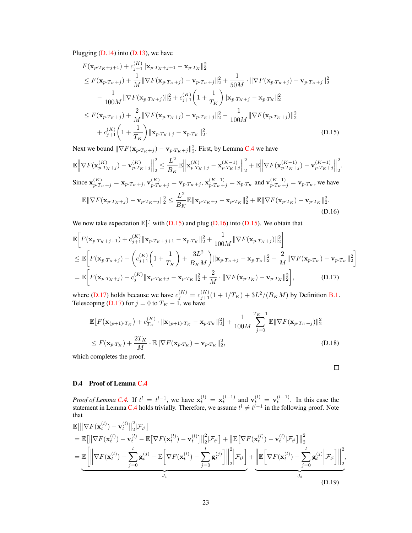Plugging  $(D.14)$  into  $(D.13)$ , we have

$$
F(\mathbf{x}_{p\cdot T_K+j+1}) + c_{j+1}^{(K)} ||\mathbf{x}_{p\cdot T_K+j+1} - \mathbf{x}_{p\cdot T_K}||_2^2
$$
  
\n
$$
\leq F(\mathbf{x}_{p\cdot T_K+j}) + \frac{1}{M} ||\nabla F(\mathbf{x}_{p\cdot T_K+j}) - \mathbf{v}_{p\cdot T_K+j}||_2^2 + \frac{1}{50M} \cdot ||\nabla F(\mathbf{x}_{p\cdot T_K+j}) - \mathbf{v}_{p\cdot T_K+j}||_2^2
$$
  
\n
$$
- \frac{1}{100M} ||\nabla F(\mathbf{x}_{p\cdot T_K+j})||_2^2 + c_{j+1}^{(K)} \left(1 + \frac{1}{T_K}\right) ||\mathbf{x}_{p\cdot T_K+j} - \mathbf{x}_{p\cdot T_K}||_2^2
$$
  
\n
$$
\leq F(\mathbf{x}_{p\cdot T_K+j}) + \frac{2}{M} ||\nabla F(\mathbf{x}_{p\cdot T_K+j}) - \mathbf{v}_{p\cdot T_K+j}||_2^2 - \frac{1}{100M} ||\nabla F(\mathbf{x}_{p\cdot T_K+j})||_2^2
$$
  
\n
$$
+ c_{j+1}^{(K)} \left(1 + \frac{1}{T_K}\right) ||\mathbf{x}_{p\cdot T_K+j} - \mathbf{x}_{p\cdot T_K}||_2^2.
$$
 (D.15)

Next we bound  $\|\nabla F(\mathbf{x}_{p \cdot T_K+j}) - \mathbf{v}_{p \cdot T_K+j}\|_2^2$ . First, by Lemma [C.4](#page-16-3) we have

$$
\mathbb{E} \left\| \nabla F(\mathbf{x}_{p\cdot T_K+j}^{(K)}) - \mathbf{v}_{p\cdot T_K+j}^{(K)} \right\|_2^2 \leq \frac{L^2}{B_K} \mathbb{E} \left\| \mathbf{x}_{p\cdot T_K+j}^{(K)} - \mathbf{x}_{p\cdot T_K+j}^{(K-1)} \right\|_2^2 + \mathbb{E} \left\| \nabla F(\mathbf{x}_{p\cdot T_K+j}^{(K-1)}) - \mathbf{v}_{p\cdot T_K+j}^{(K-1)} \right\|_2^2.
$$
  
\nSince  $\mathbf{x}_{p\cdot T_K+j}^{(K)} = \mathbf{x}_{p\cdot T_K+j}, \mathbf{v}_{p\cdot T_K+j}^{(K)} = \mathbf{v}_{p\cdot T_K+j}, \mathbf{x}_{p\cdot T_K+j}^{(K-1)} = \mathbf{x}_{p\cdot T_K}$  and  $\mathbf{v}_{p\cdot T_K+j}^{(K-1)} = \mathbf{v}_{p\cdot T_K}$ , we have  
\n
$$
\mathbb{E} \|\nabla F(\mathbf{x}_{p\cdot T_K+j}) - \mathbf{v}_{p\cdot T_K+j}\|_2^2 \leq \frac{L^2}{B_K} \mathbb{E} \|\mathbf{x}_{p\cdot T_K+j} - \mathbf{x}_{p\cdot T_K}\|_2^2 + \mathbb{E} \|\nabla F(\mathbf{x}_{p\cdot T_K}) - \mathbf{v}_{p\cdot T_K}\|_2^2.
$$
\n(D.16)

We now take expectation  $\mathbb{E}[\cdot]$  with  $(D.15)$  and plug  $(D.16)$  into  $(D.15)$ . We obtain that

$$
\mathbb{E}\bigg[F(\mathbf{x}_{p\cdot T_K+j+1})+c_{j+1}^{(K)}||\mathbf{x}_{p\cdot T_K+j+1}-\mathbf{x}_{p\cdot T_K}||_2^2+\frac{1}{100M}||\nabla F(\mathbf{x}_{p\cdot T_K+j})||_2^2\bigg] \n\leq \mathbb{E}\bigg[F(\mathbf{x}_{p\cdot T_K+j})+\bigg(c_{j+1}^{(K)}\bigg(1+\frac{1}{T_K}\bigg)+\frac{3L^2}{B_KM}\bigg)||\mathbf{x}_{p\cdot T_K+j}-\mathbf{x}_{p\cdot T_K}||_2^2+\frac{2}{M}||\nabla F(\mathbf{x}_{p\cdot T_K})-\mathbf{v}_{p\cdot T_K}||_2^2\bigg] \n= \mathbb{E}\bigg[F(\mathbf{x}_{p\cdot T_K+j})+c_j^{(K)}||\mathbf{x}_{p\cdot T_K+j}-\mathbf{x}_{p\cdot T_K}||_2^2+\frac{2}{M}\cdot||\nabla F(\mathbf{x}_{p\cdot T_K})-\mathbf{v}_{p\cdot T_K}||_2^2\bigg],
$$
\n(D.17)

where [\(D.17\)](#page-22-2) holds because we have  $c_j^{(K)} = c_{j+1}^{(K)}(1 + 1/T_K) + 3L^2/(B_K M)$  by Definition [B.1.](#page-14-4) Telescoping [\(D.17\)](#page-22-2) for  $j = 0$  to  $T<sub>K</sub> - 1$ , we have

$$
\mathbb{E}\big[F\big(\mathbf{x}_{(p+1)\cdot T_K}\big) + c_{T_K}^{(K)} \cdot \|\mathbf{x}_{(p+1)\cdot T_K} - \mathbf{x}_{p\cdot T_K}\|_2^2\big] + \frac{1}{100M} \sum_{j=0}^{T_K - 1} \mathbb{E}\|\nabla F(\mathbf{x}_{p\cdot T_K + j})\|_2^2
$$
\n
$$
\leq F(\mathbf{x}_{p\cdot T_K}) + \frac{2T_K}{M} \cdot \mathbb{E}\|\nabla F(\mathbf{x}_{p\cdot T_K}) - \mathbf{v}_{p\cdot T_K}\|_2^2, \tag{D.18}
$$

which completes the proof.

<span id="page-22-3"></span><span id="page-22-2"></span><span id="page-22-1"></span><span id="page-22-0"></span> $\Box$ 

#### D.4 Proof of Lemma [C.4](#page-16-3)

*Proof of Lemma [C.4.](#page-16-3)* If  $t^l = t^{l-1}$ , we have  $\mathbf{x}_t^{(l)} = \mathbf{x}_t^{(l-1)}$  and  $\mathbf{v}_t^{(l)} = \mathbf{v}_t^{(l-1)}$ . In this case the statement in Lemma [C.4](#page-16-3) holds trivially. Therefore, we assume  $t^{l} \neq t^{l-1}$  in the following proof. Note that

$$
\mathbb{E}\left[\left\|\nabla F(\mathbf{x}_{t}^{(l)}) - \mathbf{v}_{t}^{(l)}\right\|_{2}^{2}|\mathcal{F}_{t^{l}}\right] \n= \mathbb{E}\left[\left\|\nabla F(\mathbf{x}_{t}^{(l)}) - \mathbf{v}_{t}^{(l)} - \mathbb{E}\left[\nabla F(\mathbf{x}_{t}^{(l)}) - \mathbf{v}_{t}^{(l)}\right]\right\|_{2}^{2}|\mathcal{F}_{t^{l}}\right] + \left\|\mathbb{E}\left[\nabla F(\mathbf{x}_{t}^{(l)}) - \mathbf{v}_{t}^{(l)}|\mathcal{F}_{t^{l}}\right]\right\|_{2}^{2} \n= \mathbb{E}\left[\left\|\nabla F(\mathbf{x}_{t}^{(l)}) - \sum_{j=0}^{l} \mathbf{g}_{t}^{(j)} - \mathbb{E}\left[\nabla F(\mathbf{x}_{t}^{(l)}) - \sum_{j=0}^{l} \mathbf{g}_{t}^{(j)}\right]\right\|_{2}^{2}\right|\mathcal{F}_{t^{l}}\right] + \underbrace{\left\|\mathbb{E}\left[\nabla F(\mathbf{x}_{t}^{(l)}) - \sum_{j=0}^{l} \mathbf{g}_{t}^{(j)}\right|\mathcal{F}_{t^{l}}\right\|_{2}^{2}}_{J_{1}},\n\tag{D.19}
$$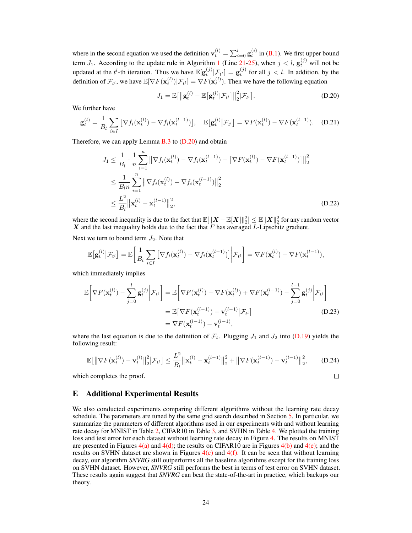where in the second equation we used the definition  $\mathbf{v}_t^{(l)} = \sum_{i=0}^l \mathbf{g}_t^{(i)}$  in [\(B.1\)](#page-14-5). We first upper bound term  $J_1$  $J_1$ . According to the update rule in Algorithm 1 (Line [21](#page-4-5)[-25\)](#page-4-6), when  $j < l$ ,  $\mathbf{g}_t^{(j)}$  will not be updated at the  $t^l$ -th iteration. Thus we have  $\mathbb{E}[\mathbf{g}_t^{(j)} | \mathcal{F}_{t^l}] = \mathbf{g}_t^{(j)}$  for all  $j < l$ . In addition, by the definition of  $\mathcal{F}_{t^l}$ , we have  $\mathbb{E}[\nabla F(\mathbf{x}_t^{(l)}) | \mathcal{F}_{t^l}] = \nabla F(\mathbf{x}_t^{(l)})$ . Then we have the following equation

<span id="page-23-0"></span>
$$
J_1 = \mathbb{E}\big[\big\| \mathbf{g}_t^{(l)} - \mathbb{E}\big[\mathbf{g}_t^{(l)} | \mathcal{F}_{t^l}\big] \big\|_2^2 | \mathcal{F}_{t^l} \big].
$$
 (D.20)

We further have

$$
\mathbf{g}_t^{(l)} = \frac{1}{B_l} \sum_{i \in I} \left[ \nabla f_i(\mathbf{x}_t^{(l)}) - \nabla f_i(\mathbf{x}_t^{(l-1)}) \right], \quad \mathbb{E} \left[ \mathbf{g}_t^{(l)} \middle| \mathcal{F}_{t^l} \right] = \nabla F(\mathbf{x}_t^{(l)}) - \nabla F(\mathbf{x}_t^{(l-1)}).
$$
 (D.21)

Therefore, we can apply Lemma  $B.3$  to  $(D.20)$  and obtain

$$
J_1 \leq \frac{1}{B_l} \cdot \frac{1}{n} \sum_{i=1}^n \left\| \nabla f_i(\mathbf{x}_t^{(l)}) - \nabla f_i(\mathbf{x}_t^{(l-1)}) - \left[ \nabla F(\mathbf{x}_t^{(l)}) - \nabla F(\mathbf{x}_t^{(l-1)}) \right] \right\|_2^2
$$
  
\n
$$
\leq \frac{1}{B_l n} \sum_{i=1}^n \left\| \nabla f_i(\mathbf{x}_t^{(l)}) - \nabla f_i(\mathbf{x}_t^{(l-1)}) \right\|_2^2
$$
  
\n
$$
\leq \frac{L^2}{B_l} \left\| \mathbf{x}_t^{(l)} - \mathbf{x}_t^{(l-1)} \right\|_2^2, \tag{D.22}
$$

where the second inequality is due to the fact that  $\mathbb{E}[\Vert \boldsymbol{X} - \mathbb{E}[\boldsymbol{X}] \Vert_2^2] \leq \mathbb{E}[\Vert \boldsymbol{X} \Vert_2^2$  for any random vector  $X$  and the last inequality holds due to the fact that  $F$  has averaged  $L$ -Lipschitz gradient.

Next we turn to bound term  $J_2$ . Note that

$$
\mathbb{E}\big[\mathbf{g}_t^{(l)}\big|\mathcal{F}_{t^l}\big] = \mathbb{E}\bigg[\frac{1}{B_l}\sum_{i\in I}\big[\nabla f_i(\mathbf{x}_t^{(l)}) - \nabla f_i(\mathbf{x}_t^{(l-1)})\big]\bigg|\mathcal{F}_{t^l}\bigg] = \nabla F(\mathbf{x}_t^{(l)}) - \nabla F(\mathbf{x}_t^{(l-1)}),
$$

which immediately implies

$$
\mathbb{E}\bigg[\nabla F(\mathbf{x}_t^{(l)}) - \sum_{j=0}^l \mathbf{g}_t^{(j)} \bigg| \mathcal{F}_{t^l}\bigg] = \mathbb{E}\bigg[\nabla F(\mathbf{x}_t^{(l)}) - \nabla F(\mathbf{x}_t^{(l)}) + \nabla F(\mathbf{x}_t^{(l-1)}) - \sum_{j=0}^{l-1} \mathbf{g}_t^{(j)} \bigg| \mathcal{F}_{t^l}\bigg]
$$
\n
$$
= \mathbb{E}\big[\nabla F(\mathbf{x}_t^{(l-1)}) - \mathbf{v}_t^{(l-1)} \big| \mathcal{F}_{t^l}\big] \tag{D.23}
$$
\n
$$
= \nabla F(\mathbf{x}_t^{(l-1)}) - \mathbf{v}_t^{(l-1)},
$$

where the last equation is due to the definition of  $\mathcal{F}_t$ . Plugging  $J_1$  and  $J_2$  into [\(D.19\)](#page-22-3) yields the following result:

$$
\mathbb{E}\big[\big\|\nabla F(\mathbf{x}_{t}^{(l)}) - \mathbf{v}_{t}^{(l)}\big\|_{2}^{2}\big|\mathcal{F}_{t^{l}}\big] \leq \frac{L^{2}}{B_{l}}\big\|\mathbf{x}_{t}^{(l)} - \mathbf{x}_{t}^{(l-1)}\big\|_{2}^{2} + \big\|\nabla F(\mathbf{x}_{t}^{(l-1)}) - \mathbf{v}_{t}^{(l-1)}\big\|_{2}^{2},\qquad(D.24)
$$

 $\Box$ 

which completes the proof.

# E Additional Experimental Results

We also conducted experiments comparing different algorithms without the learning rate decay schedule. The parameters are tuned by the same grid search described in Section [5.](#page-7-1) In particular, we summarize the parameters of different algorithms used in our experiments with and without learning rate decay for MNIST in Table [2,](#page-24-0) CIFAR10 in Table [3,](#page-24-1) and SVHN in Table [4.](#page-25-0) We plotted the training loss and test error for each dataset without learning rate decay in Figure [4.](#page-24-2) The results on MNIST are presented in Figures  $4(a)$  and  $4(d)$ ; the results on CIFAR10 are in Figures  $4(b)$  and  $4(e)$ ; and the results on SVHN dataset are shown in Figures  $4(c)$  and  $4(f)$ . It can be seen that without learning decay, our algorithm *SNVRG* still outperforms all the baseline algorithms except for the training loss on SVHN dataset. However, *SNVRG* still performs the best in terms of test error on SVHN dataset. These results again suggest that *SNVRG* can beat the state-of-the-art in practice, which backups our theory.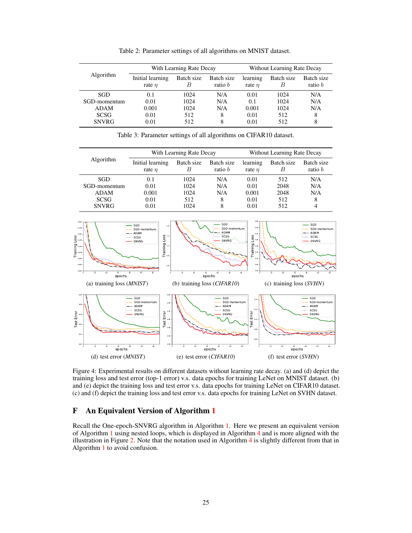<span id="page-24-0"></span>

| With Learning Rate Decay        |                 |                              | Without Learning Rate Decay |                 |                              |
|---------------------------------|-----------------|------------------------------|-----------------------------|-----------------|------------------------------|
| Initial learning<br>rate $\eta$ | Batch size<br>B | Batch size<br>ratio <i>b</i> | learning<br>rate $\eta$     | Batch size<br>B | Batch size<br>ratio <i>b</i> |
| 0.1                             | 1024            | N/A                          | 0.01                        | 1024            | N/A                          |
| 0.01                            | 1024            | N/A                          | 0.1                         | 1024            | N/A                          |
| 0.001                           | 1024            | N/A                          | 0.001                       | 1024            | N/A                          |
| 0.01                            | 512             | 8                            | 0.01                        | 512             | 8                            |
| 0.01                            | 512             | 8                            | 0.01                        | 512             | 8                            |
|                                 |                 |                              |                             |                 |                              |

Table 2: Parameter settings of all algorithms on MNIST dataset.

<span id="page-24-7"></span>Table 3: Parameter settings of all algorithms on CIFAR10 dataset.

<span id="page-24-1"></span>

| <b>Algorithm</b> | With Learning Rate Decay        |                 |                         | Without Learning Rate Decay |                 |                              |
|------------------|---------------------------------|-----------------|-------------------------|-----------------------------|-----------------|------------------------------|
|                  | Initial learning<br>rate $\eta$ | Batch size<br>B | Batch size<br>ratio $b$ | learning<br>rate $\eta$     | Batch size<br>В | Batch size<br>ratio <i>b</i> |
| SGD              | 0.1                             | 1024            | N/A                     | 0.01                        | 512             | N/A                          |
| SGD-momentum     | 0.01                            | 1024            | N/A                     | 0.01                        | 2048            | N/A                          |
| <b>ADAM</b>      | 0.001                           | 1024            | N/A                     | 0.001                       | 2048            | N/A                          |
| <b>SCSG</b>      | 0.01                            | 512             | 8                       | 0.01                        | 512             | 8                            |
| <b>SNVRG</b>     | 0.01                            | 1024            | 8                       | 0.01                        | 512             | 4                            |

<span id="page-24-5"></span><span id="page-24-3"></span>

<span id="page-24-8"></span><span id="page-24-6"></span><span id="page-24-4"></span><span id="page-24-2"></span>Figure 4: Experimental results on different datasets without learning rate decay. (a) and (d) depict the training loss and test error (top-1 error) v.s. data epochs for training LeNet on MNIST dataset. (b) and (e) depict the training loss and test error v.s. data epochs for training LeNet on CIFAR10 dataset. (c) and (f) depict the training loss and test error v.s. data epochs for training LeNet on SVHN dataset.

# F An Equivalent Version of Algorithm [1](#page-4-0)

Recall the One-epoch-SNVRG algorithm in Algorithm [1.](#page-4-0) Here we present an equivalent version of Algorithm [1](#page-4-0) using nested loops, which is displayed in Algorithm [4](#page-25-1) and is more aligned with the illustration in Figure [2.](#page-5-0) Note that the notation used in Algorithm [4](#page-25-1) is slightly different from that in Algorithm [1](#page-4-0) to avoid confusion.